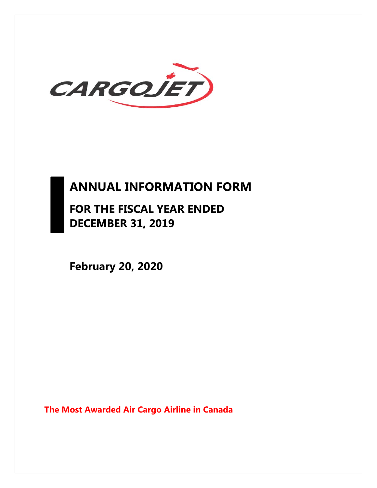

# **ANNUAL INFORMATION FORM**

**FOR THE FISCAL YEAR ENDED DECEMBER 31, 2019** 

**February 20, 2020** 

**The Most Awarded Air Cargo Airline in Canada**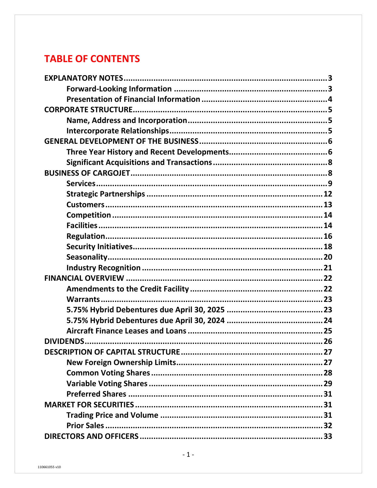## **TABLE OF CONTENTS**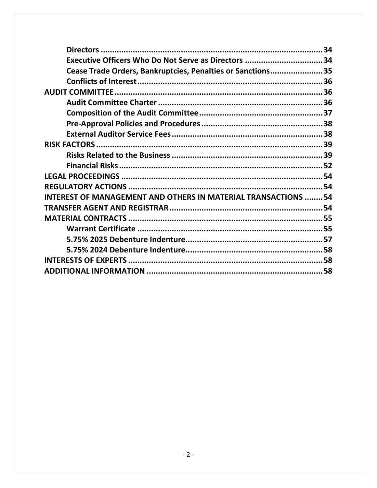| Executive Officers Who Do Not Serve as Directors 34                  |  |
|----------------------------------------------------------------------|--|
| Cease Trade Orders, Bankruptcies, Penalties or Sanctions35           |  |
|                                                                      |  |
|                                                                      |  |
|                                                                      |  |
|                                                                      |  |
|                                                                      |  |
|                                                                      |  |
|                                                                      |  |
|                                                                      |  |
|                                                                      |  |
|                                                                      |  |
|                                                                      |  |
| <b>INTEREST OF MANAGEMENT AND OTHERS IN MATERIAL TRANSACTIONS 54</b> |  |
|                                                                      |  |
|                                                                      |  |
|                                                                      |  |
|                                                                      |  |
|                                                                      |  |
|                                                                      |  |
|                                                                      |  |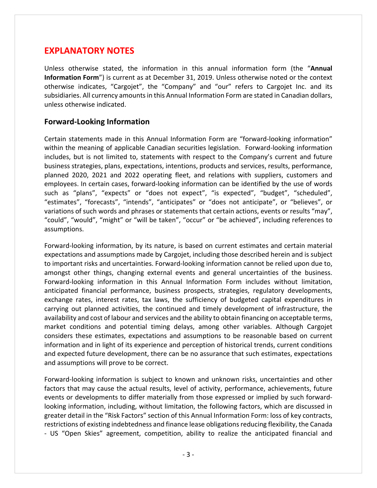### **EXPLANATORY NOTES**

Unless otherwise stated, the information in this annual information form (the "**Annual Information Form**") is current as at December 31, 2019. Unless otherwise noted or the context otherwise indicates, "Cargojet", the "Company" and "our" refers to Cargojet Inc. and its subsidiaries. All currency amounts in this Annual Information Form are stated in Canadian dollars, unless otherwise indicated.

#### **Forward‐Looking Information**

Certain statements made in this Annual Information Form are "forward‐looking information" within the meaning of applicable Canadian securities legislation. Forward-looking information includes, but is not limited to, statements with respect to the Company's current and future business strategies, plans, expectations, intentions, products and services, results, performance, planned 2020, 2021 and 2022 operating fleet, and relations with suppliers, customers and employees. In certain cases, forward-looking information can be identified by the use of words such as "plans", "expects" or "does not expect", "is expected", "budget", "scheduled", "estimates", "forecasts", "intends", "anticipates" or "does not anticipate", or "believes", or variations of such words and phrases or statements that certain actions, events or results "may", "could", "would", "might" or "will be taken", "occur" or "be achieved", including references to assumptions.

Forward‐looking information, by its nature, is based on current estimates and certain material expectations and assumptions made by Cargojet, including those described herein and is subject to important risks and uncertainties. Forward‐looking information cannot be relied upon due to, amongst other things, changing external events and general uncertainties of the business. Forward‐looking information in this Annual Information Form includes without limitation, anticipated financial performance, business prospects, strategies, regulatory developments, exchange rates, interest rates, tax laws, the sufficiency of budgeted capital expenditures in carrying out planned activities, the continued and timely development of infrastructure, the availability and cost of labour and services and the ability to obtain financing on acceptable terms, market conditions and potential timing delays, among other variables. Although Cargojet considers these estimates, expectations and assumptions to be reasonable based on current information and in light of its experience and perception of historical trends, current conditions and expected future development, there can be no assurance that such estimates, expectations and assumptions will prove to be correct.

Forward‐looking information is subject to known and unknown risks, uncertainties and other factors that may cause the actual results, level of activity, performance, achievements, future events or developments to differ materially from those expressed or implied by such forward‐ looking information, including, without limitation, the following factors, which are discussed in greater detail in the "Risk Factors" section of this Annual Information Form: loss of key contracts, restrictions of existing indebtedness and finance lease obligations reducing flexibility, the Canada ‐ US "Open Skies" agreement, competition, ability to realize the anticipated financial and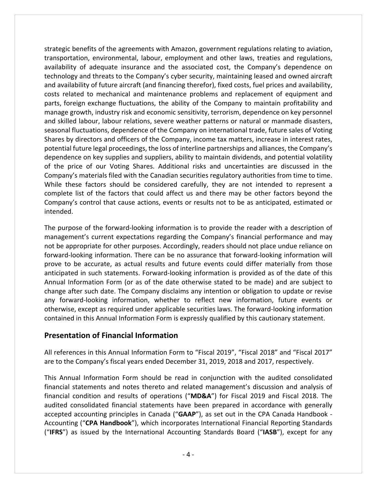strategic benefits of the agreements with Amazon, government regulations relating to aviation, transportation, environmental, labour, employment and other laws, treaties and regulations, availability of adequate insurance and the associated cost, the Company's dependence on technology and threats to the Company's cyber security, maintaining leased and owned aircraft and availability of future aircraft (and financing therefor), fixed costs, fuel prices and availability, costs related to mechanical and maintenance problems and replacement of equipment and parts, foreign exchange fluctuations, the ability of the Company to maintain profitability and manage growth, industry risk and economic sensitivity, terrorism, dependence on key personnel and skilled labour, labour relations, severe weather patterns or natural or manmade disasters, seasonal fluctuations, dependence of the Company on international trade, future sales of Voting Shares by directors and officers of the Company, income tax matters, increase in interest rates, potential future legal proceedings, the loss of interline partnerships and alliances, the Company's dependence on key supplies and suppliers, ability to maintain dividends, and potential volatility of the price of our Voting Shares. Additional risks and uncertainties are discussed in the Company's materials filed with the Canadian securities regulatory authorities from time to time. While these factors should be considered carefully, they are not intended to represent a complete list of the factors that could affect us and there may be other factors beyond the Company's control that cause actions, events or results not to be as anticipated, estimated or intended.

The purpose of the forward‐looking information is to provide the reader with a description of management's current expectations regarding the Company's financial performance and may not be appropriate for other purposes. Accordingly, readers should not place undue reliance on forward‐looking information. There can be no assurance that forward‐looking information will prove to be accurate, as actual results and future events could differ materially from those anticipated in such statements. Forward‐looking information is provided as of the date of this Annual Information Form (or as of the date otherwise stated to be made) and are subject to change after such date. The Company disclaims any intention or obligation to update or revise any forward‐looking information, whether to reflect new information, future events or otherwise, except as required under applicable securities laws. The forward‐looking information contained in this Annual Information Form is expressly qualified by this cautionary statement.

#### **Presentation of Financial Information**

All references in this Annual Information Form to "Fiscal 2019", "Fiscal 2018" and "Fiscal 2017" are to the Company's fiscal years ended December 31, 2019, 2018 and 2017, respectively.

This Annual Information Form should be read in conjunction with the audited consolidated financial statements and notes thereto and related management's discussion and analysis of financial condition and results of operations ("**MD&A**") for Fiscal 2019 and Fiscal 2018. The audited consolidated financial statements have been prepared in accordance with generally accepted accounting principles in Canada ("**GAAP**"), as set out in the CPA Canada Handbook ‐ Accounting ("**CPA Handbook**"), which incorporates International Financial Reporting Standards ("**IFRS**") as issued by the International Accounting Standards Board ("**IASB**"), except for any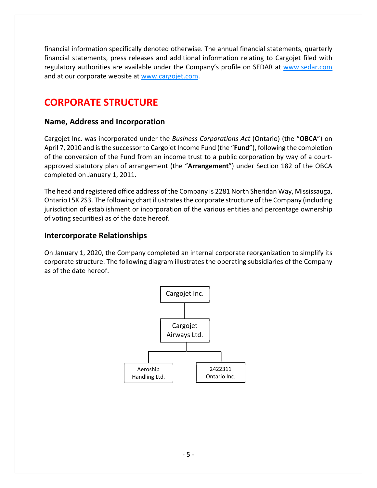financial information specifically denoted otherwise. The annual financial statements, quarterly financial statements, press releases and additional information relating to Cargojet filed with regulatory authorities are available under the Company's profile on SEDAR at www.sedar.com and at our corporate website at www.cargojet.com.

## **CORPORATE STRUCTURE**

#### **Name, Address and Incorporation**

Cargojet Inc. was incorporated under the *Business Corporations Act* (Ontario) (the "**OBCA**") on April 7, 2010 and isthe successor to Cargojet Income Fund (the "**Fund**"), following the completion of the conversion of the Fund from an income trust to a public corporation by way of a court‐ approved statutory plan of arrangement (the "**Arrangement**") under Section 182 of the OBCA completed on January 1, 2011.

The head and registered office address of the Company is 2281 North Sheridan Way, Mississauga, Ontario L5K 2S3. The following chart illustratesthe corporate structure of the Company (including jurisdiction of establishment or incorporation of the various entities and percentage ownership of voting securities) as of the date hereof.

#### **Intercorporate Relationships**

On January 1, 2020, the Company completed an internal corporate reorganization to simplify its corporate structure. The following diagram illustrates the operating subsidiaries of the Company as of the date hereof.

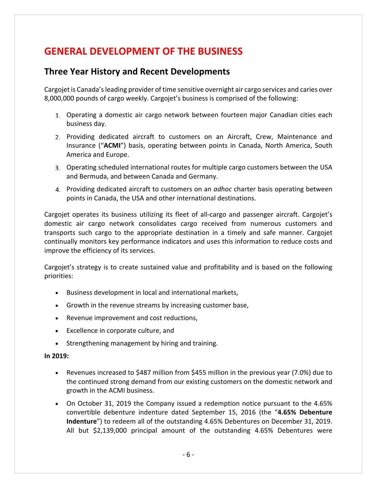## **GENERAL DEVELOPMENT OF THE BUSINESS**

### **Three Year History and Recent Developments**

Cargojet is Canada'sleading provider of time sensitive overnight air cargo services and caries over 8,000,000 pounds of cargo weekly. Cargojet's business is comprised of the following:

- Operating a domestic air cargo network between fourteen major Canadian cities each business day.
- Providing dedicated aircraft to customers on an Aircraft, Crew, Maintenance and Insurance ("**ACMI**") basis, operating between points in Canada, North America, South America and Europe.
- Operating scheduled international routes for multiple cargo customers between the USA and Bermuda, and between Canada and Germany.
- Providing dedicated aircraft to customers on an *adhoc* charter basis operating between points in Canada, the USA and other international destinations.

Cargojet operates its business utilizing its fleet of all‐cargo and passenger aircraft. Cargojet's domestic air cargo network consolidates cargo received from numerous customers and transports such cargo to the appropriate destination in a timely and safe manner. Cargojet continually monitors key performance indicators and uses this information to reduce costs and improve the efficiency of its services.

Cargojet's strategy is to create sustained value and profitability and is based on the following priorities:

- Business development in local and international markets,
- Growth in the revenue streams by increasing customer base,
- Revenue improvement and cost reductions,
- Excellence in corporate culture, and
- Strengthening management by hiring and training.

#### **In 2019:**

- Revenues increased to \$487 million from \$455 million in the previous year (7.0%) due to the continued strong demand from our existing customers on the domestic network and growth in the ACMI business.
- On October 31, 2019 the Company issued a redemption notice pursuant to the 4.65% convertible debenture indenture dated September 15, 2016 (the "**4.65% Debenture Indenture**") to redeem all of the outstanding 4.65% Debentures on December 31, 2019. All but \$2,139,000 principal amount of the outstanding 4.65% Debentures were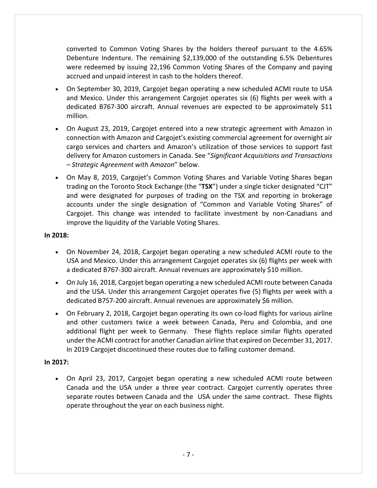converted to Common Voting Shares by the holders thereof pursuant to the 4.65% Debenture Indenture. The remaining \$2,139,000 of the outstanding 6.5% Debentures were redeemed by issuing 22,196 Common Voting Shares of the Company and paying accrued and unpaid interest in cash to the holders thereof.

- On September 30, 2019, Cargojet began operating a new scheduled ACMI route to USA and Mexico. Under this arrangement Cargojet operates six (6) flights per week with a dedicated B767‐300 aircraft. Annual revenues are expected to be approximately \$11 million.
- On August 23, 2019, Cargojet entered into a new strategic agreement with Amazon in connection with Amazon and Cargojet's existing commercial agreement for overnight air cargo services and charters and Amazon's utilization of those services to support fast delivery for Amazon customers in Canada. See "*Significant Acquisitions and Transactions – Strategic Agreement with Amazon*" below.
- On May 8, 2019, Cargojet's Common Voting Shares and Variable Voting Shares began trading on the Toronto Stock Exchange (the "**TSX**") under a single ticker designated "CJT" and were designated for purposes of trading on the TSX and reporting in brokerage accounts under the single designation of "Common and Variable Voting Shares" of Cargojet. This change was intended to facilitate investment by non‐Canadians and improve the liquidity of the Variable Voting Shares.

#### **In 2018:**

- On November 24, 2018, Cargojet began operating a new scheduled ACMI route to the USA and Mexico. Under this arrangement Cargojet operates six (6) flights per week with a dedicated B767‐300 aircraft. Annual revenues are approximately \$10 million.
- On July 16, 2018, Cargojet began operating a new scheduled ACMI route between Canada and the USA. Under this arrangement Cargojet operates five (5) flights per week with a dedicated B757‐200 aircraft. Annual revenues are approximately \$6 million.
- On February 2, 2018, Cargojet began operating its own co-load flights for various airline and other customers twice a week between Canada, Peru and Colombia, and one additional flight per week to Germany. These flights replace similar flights operated under the ACMI contract for another Canadian airline that expired on December 31, 2017. In 2019 Cargojet discontinued these routes due to falling customer demand.

#### **In 2017:**

 On April 23, 2017, Cargojet began operating a new scheduled ACMI route between Canada and the USA under a three year contract. Cargojet currently operates three separate routes between Canada and the USA under the same contract. These flights operate throughout the year on each business night.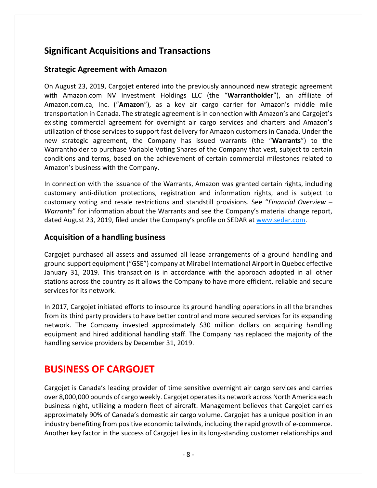## **Significant Acquisitions and Transactions**

### **Strategic Agreement with Amazon**

On August 23, 2019, Cargojet entered into the previously announced new strategic agreement with Amazon.com NV Investment Holdings LLC (the "**Warrantholder**"), an affiliate of Amazon.com.ca, Inc. ("**Amazon**"), as a key air cargo carrier for Amazon's middle mile transportation in Canada. The strategic agreement is in connection with Amazon's and Cargojet's existing commercial agreement for overnight air cargo services and charters and Amazon's utilization of those services to support fast delivery for Amazon customers in Canada. Under the new strategic agreement, the Company has issued warrants (the "**Warrants**") to the Warrantholder to purchase Variable Voting Shares of the Company that vest, subject to certain conditions and terms, based on the achievement of certain commercial milestones related to Amazon's business with the Company.

In connection with the issuance of the Warrants, Amazon was granted certain rights, including customary anti‐dilution protections, registration and information rights, and is subject to customary voting and resale restrictions and standstill provisions. See "*Financial Overview – Warrants*" for information about the Warrants and see the Company's material change report, dated August 23, 2019, filed under the Company's profile on SEDAR at www.sedar.com.

#### **Acquisition of a handling business**

Cargojet purchased all assets and assumed all lease arrangements of a ground handling and ground support equipment ("GSE") company at Mirabel International Airport in Quebec effective January 31, 2019. This transaction is in accordance with the approach adopted in all other stations across the country as it allows the Company to have more efficient, reliable and secure services for its network.

In 2017, Cargojet initiated efforts to insource its ground handling operations in all the branches from its third party providers to have better control and more secured services for its expanding network. The Company invested approximately \$30 million dollars on acquiring handling equipment and hired additional handling staff. The Company has replaced the majority of the handling service providers by December 31, 2019.

## **BUSINESS OF CARGOJET**

Cargojet is Canada's leading provider of time sensitive overnight air cargo services and carries over 8,000,000 pounds of cargo weekly. Cargojet operatesits network across North America each business night, utilizing a modern fleet of aircraft. Management believes that Cargojet carries approximately 90% of Canada's domestic air cargo volume. Cargojet has a unique position in an industry benefiting from positive economic tailwinds, including the rapid growth of e-commerce. Another key factor in the success of Cargojet lies in its long‐standing customer relationships and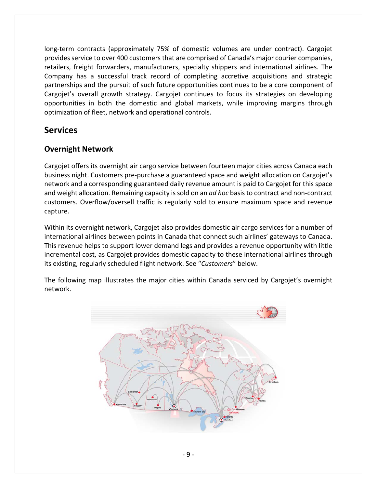long-term contracts (approximately 75% of domestic volumes are under contract). Cargojet provides service to over 400 customers that are comprised of Canada's major courier companies, retailers, freight forwarders, manufacturers, specialty shippers and international airlines. The Company has a successful track record of completing accretive acquisitions and strategic partnerships and the pursuit of such future opportunities continues to be a core component of Cargojet's overall growth strategy. Cargojet continues to focus its strategies on developing opportunities in both the domestic and global markets, while improving margins through optimization of fleet, network and operational controls.

### **Services**

### **Overnight Network**

Cargojet offers its overnight air cargo service between fourteen major cities across Canada each business night. Customers pre‐purchase a guaranteed space and weight allocation on Cargojet's network and a corresponding guaranteed daily revenue amount is paid to Cargojet for this space and weight allocation. Remaining capacity is sold on an *ad hoc* basis to contract and non‐contract customers. Overflow/oversell traffic is regularly sold to ensure maximum space and revenue capture.

Within its overnight network, Cargojet also provides domestic air cargo services for a number of international airlines between points in Canada that connect such airlines' gateways to Canada. This revenue helps to support lower demand legs and provides a revenue opportunity with little incremental cost, as Cargojet provides domestic capacity to these international airlines through its existing, regularly scheduled flight network. See "*Customers*" below.

The following map illustrates the major cities within Canada serviced by Cargojet's overnight network.

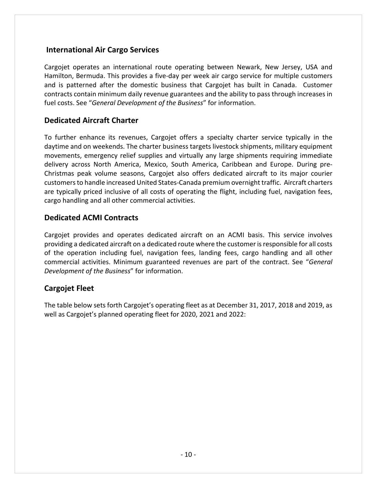#### **International Air Cargo Services**

Cargojet operates an international route operating between Newark, New Jersey, USA and Hamilton, Bermuda. This provides a five‐day per week air cargo service for multiple customers and is patterned after the domestic business that Cargojet has built in Canada. Customer contracts contain minimum daily revenue guarantees and the ability to pass through increases in fuel costs. See "*General Development of the Business*" for information.

#### **Dedicated Aircraft Charter**

To further enhance its revenues, Cargojet offers a specialty charter service typically in the daytime and on weekends. The charter business targets livestock shipments, military equipment movements, emergency relief supplies and virtually any large shipments requiring immediate delivery across North America, Mexico, South America, Caribbean and Europe. During pre‐ Christmas peak volume seasons, Cargojet also offers dedicated aircraft to its major courier customersto handle increased United States‐Canada premium overnight traffic. Aircraft charters are typically priced inclusive of all costs of operating the flight, including fuel, navigation fees, cargo handling and all other commercial activities.

#### **Dedicated ACMI Contracts**

Cargojet provides and operates dedicated aircraft on an ACMI basis. This service involves providing a dedicated aircraft on a dedicated route where the customer is responsible for all costs of the operation including fuel, navigation fees, landing fees, cargo handling and all other commercial activities. Minimum guaranteed revenues are part of the contract. See "*General Development of the Business*" for information.

### **Cargojet Fleet**

The table below sets forth Cargojet's operating fleet as at December 31, 2017, 2018 and 2019, as well as Cargojet's planned operating fleet for 2020, 2021 and 2022: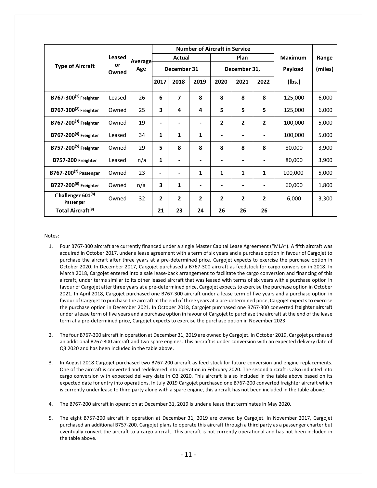|                                            | Leased | <b>Number of Aircraft in Service</b> |                |                |                |                |                |                |         |       |
|--------------------------------------------|--------|--------------------------------------|----------------|----------------|----------------|----------------|----------------|----------------|---------|-------|
|                                            |        | Average                              | Actual         |                | Plan           |                |                | <b>Maximum</b> | Range   |       |
| or<br><b>Type of Aircraft</b><br>Owned     |        | Age                                  | December 31    |                | December 31,   |                |                | Payload        | (miles) |       |
|                                            |        |                                      | 2017           | 2018           | 2019           | 2020           | 2021           | 2022           | (Ibs.)  |       |
| B767-300 $(1)$ Freighter                   | Leased | 26                                   | 6              | 7              | 8              | 8              | 8              | 8              | 125,000 | 6,000 |
| B767-300 $(2)$ Freighter                   | Owned  | 25                                   | 3              | 4              | 4              | 5              | 5              | 5              | 125,000 | 6,000 |
| B767-200 $(3)$ Freighter                   | Owned  | 19                                   |                | ٠              |                | 2              | 2              | 2              | 100,000 | 5,000 |
| $B767 - 200(4)$ Freighter                  | Leased | 34                                   | 1              | 1              | 1              | ۰              | -              | -              | 100,000 | 5,000 |
| B757-200 <sup>(5)</sup> Freighter          | Owned  | 29                                   | 5              | 8              | 8              | 8              | 8              | 8              | 80,000  | 3,900 |
| B757-200 Freighter                         | Leased | n/a                                  | 1              | -              |                |                |                |                | 80,000  | 3,900 |
| B767-200 <sup>(7)</sup> Passenger          | Owned  | 23                                   |                | -              | 1              | 1              | 1              | 1              | 100,000 | 5,000 |
| B727-200 <sup>(6)</sup> Freighter          | Owned  | n/a                                  | 3              | 1              |                |                |                |                | 60,000  | 1,800 |
| Challenger 601 <sup>(8)</sup><br>Passenger | Owned  | 32                                   | $\overline{2}$ | $\overline{2}$ | $\overline{2}$ | $\overline{2}$ | $\overline{2}$ | $\overline{2}$ | 6,000   | 3,300 |
| Total Aircraft <sup>(9)</sup>              |        |                                      | 21             | 23             | 24             | 26             | 26             | 26             |         |       |

Notes:

- 1. Four B767‐300 aircraft are currently financed under a single Master Capital Lease Agreement ("MLA"). A fifth aircraft was acquired in October 2017, under a lease agreement with a term of six years and a purchase option in favour of Cargojet to purchase the aircraft after three years at a pre‐determined price. Cargojet expects to exercise the purchase option in October 2020. In December 2017, Cargojet purchased a B767‐300 aircraft as feedstock for cargo conversion in 2018. In March 2018, Cargojet entered into a sale lease‐back arrangement to facilitate the cargo conversion and financing of this aircraft, under terms similar to its other leased aircraft that was leased with terms of six years with a purchase option in favour of Cargojet after three years at a pre-determined price, Cargojet expects to exercise the purchase option in October 2021. In April 2018, Cargojet purchased one B767‐300 aircraft under a lease term of five years and a purchase option in favour of Cargojet to purchase the aircraft at the end of three years at a pre-determined price, Cargojet expects to exercise the purchase option in December 2021. In October 2018, Cargojet purchased one B767‐300 converted freighter aircraft under a lease term of five years and a purchase option in favour of Cargojet to purchase the aircraft at the end of the lease term at a pre‐determined price, Cargojet expects to exercise the purchase option in November 2023.
- 2. The four B767‐300 aircraft in operation at December 31, 2019 are owned by Cargojet. In October 2019, Cargojet purchased an additional B767‐300 aircraft and two spare engines. This aircraft is under conversion with an expected delivery date of Q3 2020 and has been included in the table above.
- 3. In August 2018 Cargojet purchased two B767‐200 aircraft as feed stock for future conversion and engine replacements. One of the aircraft is converted and redelivered into operation in February 2020. The second aircraft is also inducted into cargo conversion with expected delivery date in Q3 2020. This aircraft is also included in the table above based on its expected date for entry into operations. In July 2019 Cargojet purchased one B767‐200 converted freighter aircraft which is currently under lease to third party along with a spare engine, this aircraft has not been included in the table above.
- 4. The B767‐200 aircraft in operation at December 31, 2019 is under a lease that terminates in May 2020.
- 5. The eight B757‐200 aircraft in operation at December 31, 2019 are owned by Cargojet. In November 2017, Cargojet purchased an additional B757‐200. Cargojet plans to operate this aircraft through a third party as a passenger charter but eventually convert the aircraft to a cargo aircraft. This aircraft is not currently operational and has not been included in the table above.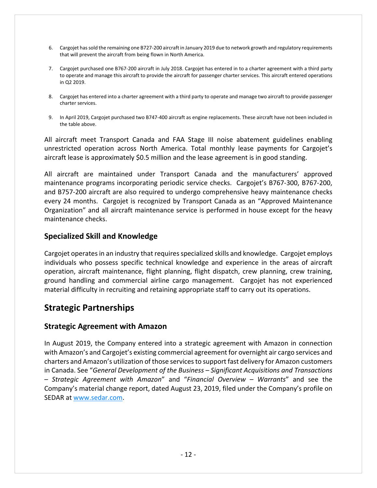- 6. Cargojet hassold the remaining one B727‐200 aircraft in January 2019 due to network growth and regulatory requirements that will prevent the aircraft from being flown in North America.
- 7. Cargojet purchased one B767‐200 aircraft in July 2018. Cargojet has entered in to a charter agreement with a third party to operate and manage this aircraft to provide the aircraft for passenger charter services. This aircraft entered operations in Q2 2019.
- 8. Cargojet has entered into a charter agreement with a third party to operate and manage two aircraft to provide passenger charter services.
- 9. In April 2019, Cargojet purchased two B747‐400 aircraft as engine replacements. These aircraft have not been included in the table above.

All aircraft meet Transport Canada and FAA Stage III noise abatement guidelines enabling unrestricted operation across North America. Total monthly lease payments for Cargojet's aircraft lease is approximately \$0.5 million and the lease agreement is in good standing.

All aircraft are maintained under Transport Canada and the manufacturers' approved maintenance programs incorporating periodic service checks. Cargojet's B767‐300, B767‐200, and B757‐200 aircraft are also required to undergo comprehensive heavy maintenance checks every 24 months. Cargojet is recognized by Transport Canada as an "Approved Maintenance Organization" and all aircraft maintenance service is performed in house except for the heavy maintenance checks.

#### **Specialized Skill and Knowledge**

Cargojet operates in an industry that requires specialized skills and knowledge. Cargojet employs individuals who possess specific technical knowledge and experience in the areas of aircraft operation, aircraft maintenance, flight planning, flight dispatch, crew planning, crew training, ground handling and commercial airline cargo management. Cargojet has not experienced material difficulty in recruiting and retaining appropriate staff to carry out its operations.

### **Strategic Partnerships**

#### **Strategic Agreement with Amazon**

In August 2019, the Company entered into a strategic agreement with Amazon in connection with Amazon's and Cargojet's existing commercial agreement for overnight air cargo services and charters and Amazon's utilization of those servicesto support fast delivery for Amazon customers in Canada. See "*General Development of the Business – Significant Acquisitions and Transactions – Strategic Agreement with Amazon*" and "*Financial Overview – Warrants*" and see the Company's material change report, dated August 23, 2019, filed under the Company's profile on SEDAR at www.sedar.com.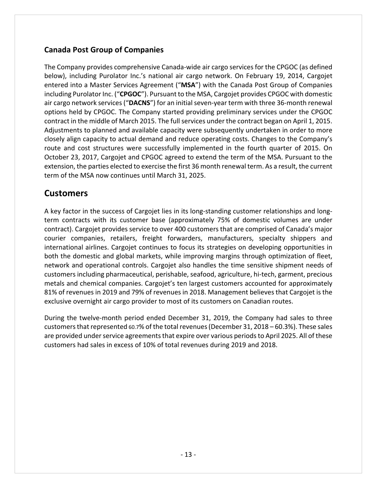### **Canada Post Group of Companies**

The Company provides comprehensive Canada‐wide air cargo services for the CPGOC (as defined below), including Purolator Inc.'s national air cargo network. On February 19, 2014, Cargojet entered into a Master Services Agreement ("**MSA**") with the Canada Post Group of Companies including Purolator Inc. ("CPGOC"). Pursuant to the MSA, Cargojet provides CPGOC with domestic air cargo network services ("DACNS") for an initial seven-year term with three 36-month renewal options held by CPGOC. The Company started providing preliminary services under the CPGOC contract in the middle of March 2015. The full services under the contract began on April 1, 2015. Adjustments to planned and available capacity were subsequently undertaken in order to more closely align capacity to actual demand and reduce operating costs. Changes to the Company's route and cost structures were successfully implemented in the fourth quarter of 2015. On October 23, 2017, Cargojet and CPGOC agreed to extend the term of the MSA. Pursuant to the extension, the parties elected to exercise the first 36 month renewal term. As a result, the current term of the MSA now continues until March 31, 2025.

### **Customers**

A key factor in the success of Cargojet lies in its long‐standing customer relationships and long‐ term contracts with its customer base (approximately 75% of domestic volumes are under contract). Cargojet provides service to over 400 customers that are comprised of Canada's major courier companies, retailers, freight forwarders, manufacturers, specialty shippers and international airlines. Cargojet continues to focus its strategies on developing opportunities in both the domestic and global markets, while improving margins through optimization of fleet, network and operational controls. Cargojet also handles the time sensitive shipment needs of customers including pharmaceutical, perishable, seafood, agriculture, hi‐tech, garment, precious metals and chemical companies. Cargojet's ten largest customers accounted for approximately 81% of revenues in 2019 and 79% of revenues in 2018. Management believes that Cargojet is the exclusive overnight air cargo provider to most of its customers on Canadian routes.

During the twelve‐month period ended December 31, 2019, the Company had sales to three customers that represented 60.7% of the total revenues (December 31, 2018 – 60.3%). These sales are provided under service agreements that expire over various periods to April 2025. All of these customers had sales in excess of 10% of total revenues during 2019 and 2018.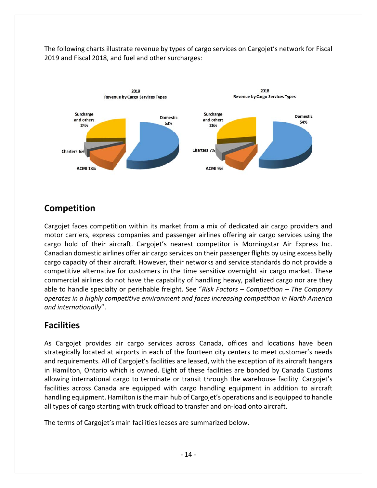The following charts illustrate revenue by types of cargo services on Cargojet's network for Fiscal 2019 and Fiscal 2018, and fuel and other surcharges:



## **Competition**

Cargojet faces competition within its market from a mix of dedicated air cargo providers and motor carriers, express companies and passenger airlines offering air cargo services using the cargo hold of their aircraft. Cargojet's nearest competitor is Morningstar Air Express Inc. Canadian domestic airlines offer air cargo services on their passenger flights by using excess belly cargo capacity of their aircraft. However, their networks and service standards do not provide a competitive alternative for customers in the time sensitive overnight air cargo market. These commercial airlines do not have the capability of handling heavy, palletized cargo nor are they able to handle specialty or perishable freight. See "*Risk Factors – Competition – The Company operates in a highly competitive environment and faces increasing competition in North America and internationally*".

### **Facilities**

As Cargojet provides air cargo services across Canada, offices and locations have been strategically located at airports in each of the fourteen city centers to meet customer's needs and requirements. All of Cargojet's facilities are leased, with the exception of its aircraft hangar**s** in Hamilton, Ontario which is owned. Eight of these facilities are bonded by Canada Customs allowing international cargo to terminate or transit through the warehouse facility. Cargojet's facilities across Canada are equipped with cargo handling equipment in addition to aircraft handling equipment. Hamilton isthe main hub of Cargojet's operations and is equipped to handle all types of cargo starting with truck offload to transfer and on‐load onto aircraft.

The terms of Cargojet's main facilities leases are summarized below.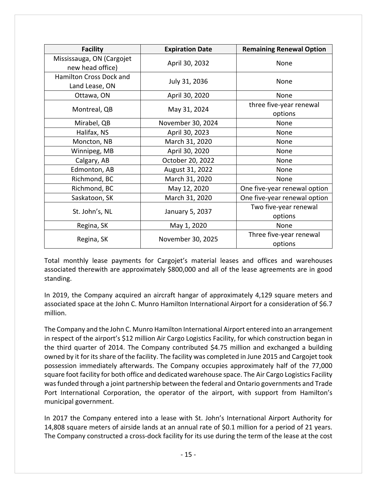| <b>Facility</b>                               | <b>Expiration Date</b> | <b>Remaining Renewal Option</b> |  |
|-----------------------------------------------|------------------------|---------------------------------|--|
| Mississauga, ON (Cargojet<br>new head office) | April 30, 2032         | None                            |  |
| Hamilton Cross Dock and<br>Land Lease, ON     | July 31, 2036          | None                            |  |
| Ottawa, ON                                    | April 30, 2020         | None                            |  |
| Montreal, QB                                  | May 31, 2024           | three five-year renewal         |  |
|                                               |                        | options                         |  |
| Mirabel, QB                                   | November 30, 2024      | None                            |  |
| Halifax, NS                                   | April 30, 2023         | None                            |  |
| Moncton, NB                                   | March 31, 2020         | None                            |  |
| Winnipeg, MB                                  | April 30, 2020         | None                            |  |
| Calgary, AB                                   | October 20, 2022       | None                            |  |
| Edmonton, AB                                  | August 31, 2022        | None                            |  |
| Richmond, BC                                  | March 31, 2020         | None                            |  |
| Richmond, BC                                  | May 12, 2020           | One five-year renewal option    |  |
| Saskatoon, SK                                 | March 31, 2020         | One five-year renewal option    |  |
|                                               |                        | Two five-year renewal           |  |
| St. John's, NL                                | January 5, 2037        | options                         |  |
| Regina, SK                                    | May 1, 2020            | None                            |  |
|                                               |                        | Three five-year renewal         |  |
| Regina, SK                                    | November 30, 2025      | options                         |  |

Total monthly lease payments for Cargojet's material leases and offices and warehouses associated therewith are approximately \$800,000 and all of the lease agreements are in good standing.

In 2019, the Company acquired an aircraft hangar of approximately 4,129 square meters and associated space at the John C. Munro Hamilton International Airport for a consideration of \$6.7 million.

The Company and the John C. Munro Hamilton International Airport entered into an arrangement in respect of the airport's \$12 million Air Cargo Logistics Facility, for which construction began in the third quarter of 2014. The Company contributed \$4.75 million and exchanged a building owned by it for its share of the facility. The facility was completed in June 2015 and Cargojet took possession immediately afterwards. The Company occupies approximately half of the 77,000 square foot facility for both office and dedicated warehouse space. The Air Cargo Logistics Facility wasfunded through a joint partnership between the federal and Ontario governments and Trade Port International Corporation, the operator of the airport, with support from Hamilton's municipal government.

In 2017 the Company entered into a lease with St. John's International Airport Authority for 14,808 square meters of airside lands at an annual rate of \$0.1 million for a period of 21 years. The Company constructed a cross-dock facility for its use during the term of the lease at the cost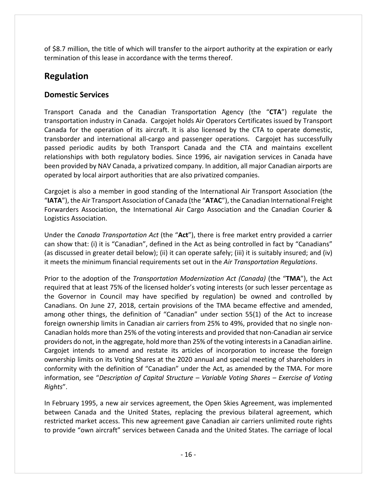of \$8.7 million, the title of which will transfer to the airport authority at the expiration or early termination of this lease in accordance with the terms thereof.

## **Regulation**

### **Domestic Services**

Transport Canada and the Canadian Transportation Agency (the "**CTA**") regulate the transportation industry in Canada. Cargojet holds Air Operators Certificates issued by Transport Canada for the operation of its aircraft. It is also licensed by the CTA to operate domestic, transborder and international all-cargo and passenger operations. Cargojet has successfully passed periodic audits by both Transport Canada and the CTA and maintains excellent relationships with both regulatory bodies. Since 1996, air navigation services in Canada have been provided by NAV Canada, a privatized company. In addition, all major Canadian airports are operated by local airport authorities that are also privatized companies.

Cargojet is also a member in good standing of the International Air Transport Association (the "**IATA**"), the Air Transport Association of Canada (the "**ATAC**"), the Canadian International Freight Forwarders Association, the International Air Cargo Association and the Canadian Courier & Logistics Association.

Under the *Canada Transportation Act* (the "**Act**"), there is free market entry provided a carrier can show that: (i) it is "Canadian", defined in the Act as being controlled in fact by "Canadians" (as discussed in greater detail below); (ii) it can operate safely; (iii) it is suitably insured; and (iv) it meets the minimum financial requirements set out in the *Air Transportation Regulations*.

Prior to the adoption of the *Transportation Modernization Act (Canada)* (the "**TMA**"), the Act required that at least 75% of the licensed holder's voting interests (or such lesser percentage as the Governor in Council may have specified by regulation) be owned and controlled by Canadians. On June 27, 2018, certain provisions of the TMA became effective and amended, among other things, the definition of "Canadian" under section 55(1) of the Act to increase foreign ownership limits in Canadian air carriers from 25% to 49%, provided that no single non‐ Canadian holds more than 25% of the voting interests and provided that non‐Canadian airservice providers do not, in the aggregate, hold more than 25% of the voting interestsin a Canadian airline. Cargojet intends to amend and restate its articles of incorporation to increase the foreign ownership limits on its Voting Shares at the 2020 annual and special meeting of shareholders in conformity with the definition of "Canadian" under the Act, as amended by the TMA. For more information, see "*Description of Capital Structure – Variable Voting Shares – Exercise of Voting Rights*".

In February 1995, a new air services agreement, the Open Skies Agreement, was implemented between Canada and the United States, replacing the previous bilateral agreement, which restricted market access. This new agreement gave Canadian air carriers unlimited route rights to provide "own aircraft" services between Canada and the United States. The carriage of local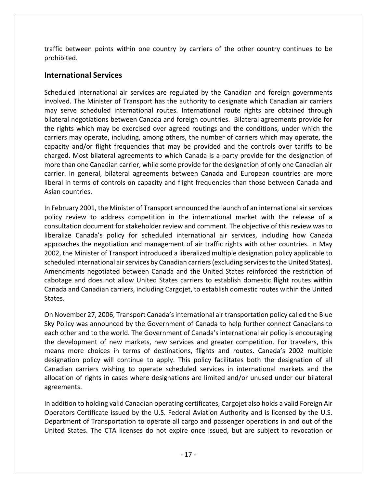traffic between points within one country by carriers of the other country continues to be prohibited.

### **International Services**

Scheduled international air services are regulated by the Canadian and foreign governments involved. The Minister of Transport has the authority to designate which Canadian air carriers may serve scheduled international routes. International route rights are obtained through bilateral negotiations between Canada and foreign countries. Bilateral agreements provide for the rights which may be exercised over agreed routings and the conditions, under which the carriers may operate, including, among others, the number of carriers which may operate, the capacity and/or flight frequencies that may be provided and the controls over tariffs to be charged. Most bilateral agreements to which Canada is a party provide for the designation of more than one Canadian carrier, while some provide for the designation of only one Canadian air carrier. In general, bilateral agreements between Canada and European countries are more liberal in terms of controls on capacity and flight frequencies than those between Canada and Asian countries.

In February 2001, the Minister of Transport announced the launch of an international air services policy review to address competition in the international market with the release of a consultation document for stakeholder review and comment. The objective of this review was to liberalize Canada's policy for scheduled international air services, including how Canada approaches the negotiation and management of air traffic rights with other countries. In May 2002, the Minister of Transport introduced a liberalized multiple designation policy applicable to scheduled international air services by Canadian carriers (excluding services to the United States). Amendments negotiated between Canada and the United States reinforced the restriction of cabotage and does not allow United States carriers to establish domestic flight routes within Canada and Canadian carriers, including Cargojet, to establish domestic routes within the United States.

On November 27, 2006, Transport Canada'sinternational air transportation policy called the Blue Sky Policy was announced by the Government of Canada to help further connect Canadians to each other and to the world. The Government of Canada's international air policy is encouraging the development of new markets, new services and greater competition. For travelers, this means more choices in terms of destinations, flights and routes. Canada's 2002 multiple designation policy will continue to apply. This policy facilitates both the designation of all Canadian carriers wishing to operate scheduled services in international markets and the allocation of rights in cases where designations are limited and/or unused under our bilateral agreements.

In addition to holding valid Canadian operating certificates, Cargojet also holds a valid Foreign Air Operators Certificate issued by the U.S. Federal Aviation Authority and is licensed by the U.S. Department of Transportation to operate all cargo and passenger operations in and out of the United States. The CTA licenses do not expire once issued, but are subject to revocation or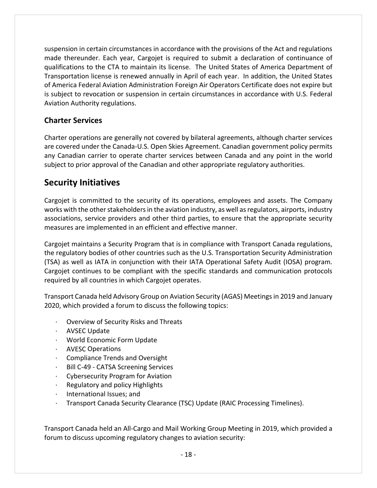suspension in certain circumstances in accordance with the provisions of the Act and regulations made thereunder. Each year, Cargojet is required to submit a declaration of continuance of qualifications to the CTA to maintain its license. The United States of America Department of Transportation license is renewed annually in April of each year. In addition, the United States of America Federal Aviation Administration Foreign Air Operators Certificate does not expire but is subject to revocation or suspension in certain circumstances in accordance with U.S. Federal Aviation Authority regulations.

### **Charter Services**

Charter operations are generally not covered by bilateral agreements, although charter services are covered under the Canada‐U.S. Open Skies Agreement. Canadian government policy permits any Canadian carrier to operate charter services between Canada and any point in the world subject to prior approval of the Canadian and other appropriate regulatory authorities.

### **Security Initiatives**

Cargojet is committed to the security of its operations, employees and assets. The Company works with the other stakeholders in the aviation industry, as well as regulators, airports, industry associations, service providers and other third parties, to ensure that the appropriate security measures are implemented in an efficient and effective manner.

Cargojet maintains a Security Program that is in compliance with Transport Canada regulations, the regulatory bodies of other countries such as the U.S. Transportation Security Administration (TSA) as well as IATA in conjunction with their IATA Operational Safety Audit (IOSA) program. Cargojet continues to be compliant with the specific standards and communication protocols required by all countries in which Cargojet operates.

Transport Canada held Advisory Group on Aviation Security (AGAS) Meetingsin 2019 and January 2020, which provided a forum to discuss the following topics:

- · Overview of Security Risks and Threats
- · AVSEC Update
- · World Economic Form Update
- · AVESC Operations
- · Compliance Trends and Oversight
- · Bill C‐49 ‐ CATSA Screening Services
- · Cybersecurity Program for Aviation
- · Regulatory and policy Highlights
- · International Issues; and
- · Transport Canada Security Clearance (TSC) Update (RAIC Processing Timelines).

Transport Canada held an All‐Cargo and Mail Working Group Meeting in 2019, which provided a forum to discuss upcoming regulatory changes to aviation security: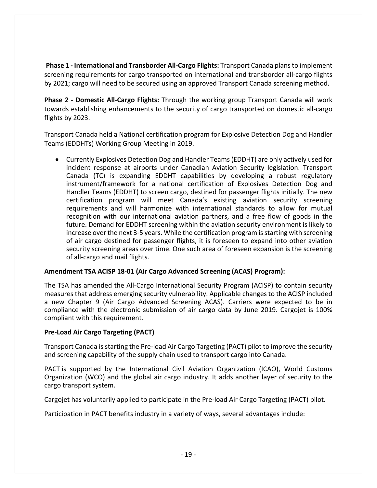**Phase 1 ‐ International and Transborder All‐Cargo Flights:** Transport Canada plansto implement screening requirements for cargo transported on international and transborder all‐cargo flights by 2021; cargo will need to be secured using an approved Transport Canada screening method.

**Phase 2 ‐ Domestic All‐Cargo Flights:** Through the working group Transport Canada will work towards establishing enhancements to the security of cargo transported on domestic all‐cargo flights by 2023.

Transport Canada held a National certification program for Explosive Detection Dog and Handler Teams (EDDHTs) Working Group Meeting in 2019.

 Currently Explosives Detection Dog and Handler Teams(EDDHT) are only actively used for incident response at airports under Canadian Aviation Security legislation. Transport Canada (TC) is expanding EDDHT capabilities by developing a robust regulatory instrument/framework for a national certification of Explosives Detection Dog and Handler Teams (EDDHT) to screen cargo, destined for passenger flights initially. The new certification program will meet Canada's existing aviation security screening requirements and will harmonize with international standards to allow for mutual recognition with our international aviation partners, and a free flow of goods in the future. Demand for EDDHT screening within the aviation security environment is likely to increase over the next 3‐5 years. While the certification program isstarting with screening of air cargo destined for passenger flights, it is foreseen to expand into other aviation security screening areas over time. One such area of foreseen expansion is the screening of all‐cargo and mail flights.

#### **Amendment TSA ACISP 18‐01 (Air Cargo Advanced Screening (ACAS) Program):**

The TSA has amended the All‐Cargo International Security Program (ACISP) to contain security measures that address emerging security vulnerability. Applicable changes to the ACISP included a new Chapter 9 (Air Cargo Advanced Screening ACAS). Carriers were expected to be in compliance with the electronic submission of air cargo data by June 2019. Cargojet is 100% compliant with this requirement.

#### **Pre‐Load Air Cargo Targeting (PACT)**

Transport Canada isstarting the Pre‐load Air Cargo Targeting (PACT) pilot to improve the security and screening capability of the supply chain used to transport cargo into Canada.

PACT is supported by the International Civil Aviation Organization (ICAO), World Customs Organization (WCO) and the global air cargo industry. It adds another layer of security to the cargo transport system.

Cargojet has voluntarily applied to participate in the Pre‐load Air Cargo Targeting (PACT) pilot.

Participation in PACT benefits industry in a variety of ways, several advantages include: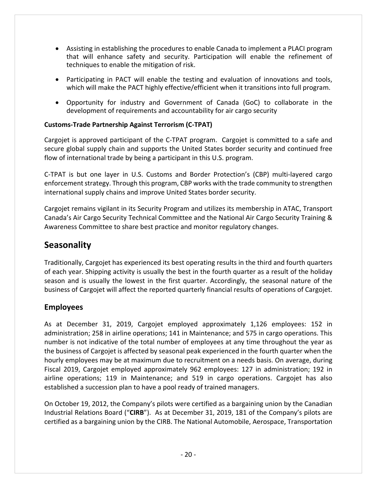- Assisting in establishing the procedures to enable Canada to implement a PLACI program that will enhance safety and security. Participation will enable the refinement of techniques to enable the mitigation of risk.
- Participating in PACT will enable the testing and evaluation of innovations and tools, which will make the PACT highly effective/efficient when it transitions into full program.
- Opportunity for industry and Government of Canada (GoC) to collaborate in the development of requirements and accountability for air cargo security

#### **Customs‐Trade Partnership Against Terrorism (C‐TPAT)**

Cargojet is approved participant of the C‐TPAT program. Cargojet is committed to a safe and secure global supply chain and supports the United States border security and continued free flow of international trade by being a participant in this U.S. program.

C‐TPAT is but one layer in U.S. Customs and Border Protection's (CBP) multi‐layered cargo enforcement strategy. Through this program, CBP works with the trade community to strengthen international supply chains and improve United States border security.

Cargojet remains vigilant in its Security Program and utilizes its membership in ATAC, Transport Canada's Air Cargo Security Technical Committee and the National Air Cargo Security Training & Awareness Committee to share best practice and monitor regulatory changes.

### **Seasonality**

Traditionally, Cargojet has experienced its best operating results in the third and fourth quarters of each year. Shipping activity is usually the best in the fourth quarter as a result of the holiday season and is usually the lowest in the first quarter. Accordingly, the seasonal nature of the business of Cargojet will affect the reported quarterly financial results of operations of Cargojet.

### **Employees**

As at December 31, 2019, Cargojet employed approximately 1,126 employees: 152 in administration; 258 in airline operations; 141 in Maintenance; and 575 in cargo operations. This number is not indicative of the total number of employees at any time throughout the year as the business of Cargojet is affected by seasonal peak experienced in the fourth quarter when the hourly employees may be at maximum due to recruitment on a needs basis. On average, during Fiscal 2019, Cargojet employed approximately 962 employees: 127 in administration; 192 in airline operations; 119 in Maintenance; and 519 in cargo operations. Cargojet has also established a succession plan to have a pool ready of trained managers.

On October 19, 2012, the Company's pilots were certified as a bargaining union by the Canadian Industrial Relations Board ("**CIRB**"). As at December 31, 2019, 181 of the Company's pilots are certified as a bargaining union by the CIRB. The National Automobile, Aerospace, Transportation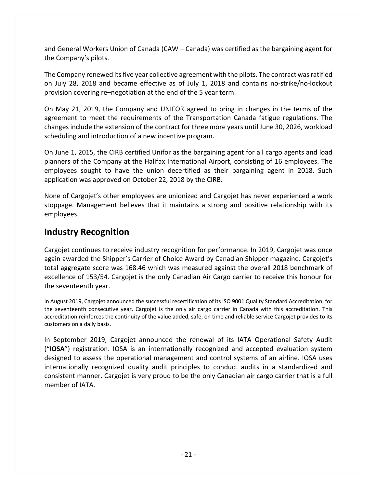and General Workers Union of Canada (CAW – Canada) was certified as the bargaining agent for the Company's pilots.

The Company renewed its five year collective agreement with the pilots. The contract was ratified on July 28, 2018 and became effective as of July 1, 2018 and contains no‐strike/no‐lockout provision covering re–negotiation at the end of the 5 year term.

On May 21, 2019, the Company and UNIFOR agreed to bring in changes in the terms of the agreement to meet the requirements of the Transportation Canada fatigue regulations. The changes include the extension of the contract for three more years until June 30, 2026, workload scheduling and introduction of a new incentive program.

On June 1, 2015, the CIRB certified Unifor as the bargaining agent for all cargo agents and load planners of the Company at the Halifax International Airport, consisting of 16 employees. The employees sought to have the union decertified as their bargaining agent in 2018. Such application was approved on October 22, 2018 by the CIRB.

None of Cargojet's other employees are unionized and Cargojet has never experienced a work stoppage. Management believes that it maintains a strong and positive relationship with its employees.

### **Industry Recognition**

Cargojet continues to receive industry recognition for performance. In 2019, Cargojet was once again awarded the Shipper's Carrier of Choice Award by Canadian Shipper magazine. Cargojet's total aggregate score was 168.46 which was measured against the overall 2018 benchmark of excellence of 153/54. Cargojet is the only Canadian Air Cargo carrier to receive this honour for the seventeenth year.

In August 2019, Cargojet announced the successful recertification of its ISO 9001 Quality Standard Accreditation, for the seventeenth consecutive year. Cargojet is the only air cargo carrier in Canada with this accreditation. This accreditation reinforces the continuity of the value added, safe, on time and reliable service Cargojet provides to its customers on a daily basis.

In September 2019, Cargojet announced the renewal of its IATA Operational Safety Audit ("**IOSA**") registration. IOSA is an internationally recognized and accepted evaluation system designed to assess the operational management and control systems of an airline. IOSA uses internationally recognized quality audit principles to conduct audits in a standardized and consistent manner. Cargojet is very proud to be the only Canadian air cargo carrier that is a full member of IATA.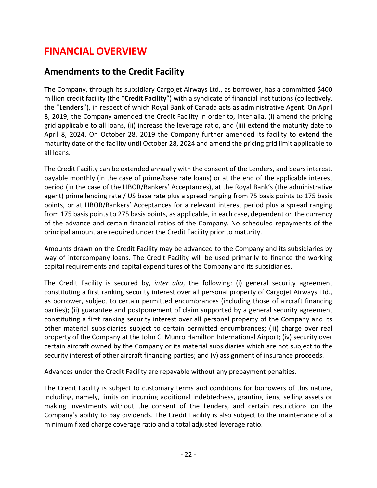## **FINANCIAL OVERVIEW**

### **Amendments to the Credit Facility**

The Company, through its subsidiary Cargojet Airways Ltd., as borrower, has a committed \$400 million credit facility (the "**Credit Facility**") with a syndicate of financial institutions (collectively, the "**Lenders**"), in respect of which Royal Bank of Canada acts as administrative Agent. On April 8, 2019, the Company amended the Credit Facility in order to, inter alia, (i) amend the pricing grid applicable to all loans, (ii) increase the leverage ratio, and (iii) extend the maturity date to April 8, 2024. On October 28, 2019 the Company further amended its facility to extend the maturity date of the facility until October 28, 2024 and amend the pricing grid limit applicable to all loans.

The Credit Facility can be extended annually with the consent of the Lenders, and bears interest, payable monthly (in the case of prime/base rate loans) or at the end of the applicable interest period (in the case of the LIBOR/Bankers' Acceptances), at the Royal Bank's (the administrative agent) prime lending rate / US base rate plus a spread ranging from 75 basis points to 175 basis points, or at LIBOR/Bankers' Acceptances for a relevant interest period plus a spread ranging from 175 basis points to 275 basis points, as applicable, in each case, dependent on the currency of the advance and certain financial ratios of the Company. No scheduled repayments of the principal amount are required under the Credit Facility prior to maturity.

Amounts drawn on the Credit Facility may be advanced to the Company and its subsidiaries by way of intercompany loans. The Credit Facility will be used primarily to finance the working capital requirements and capital expenditures of the Company and its subsidiaries.

The Credit Facility is secured by, *inter alia*, the following: (i) general security agreement constituting a first ranking security interest over all personal property of Cargojet Airways Ltd., as borrower, subject to certain permitted encumbrances (including those of aircraft financing parties); (ii) guarantee and postponement of claim supported by a general security agreement constituting a first ranking security interest over all personal property of the Company and its other material subsidiaries subject to certain permitted encumbrances; (iii) charge over real property of the Company at the John C. Munro Hamilton International Airport; (iv) security over certain aircraft owned by the Company or its material subsidiaries which are not subject to the security interest of other aircraft financing parties; and (v) assignment of insurance proceeds.

Advances under the Credit Facility are repayable without any prepayment penalties.

The Credit Facility is subject to customary terms and conditions for borrowers of this nature, including, namely, limits on incurring additional indebtedness, granting liens, selling assets or making investments without the consent of the Lenders, and certain restrictions on the Company's ability to pay dividends. The Credit Facility is also subject to the maintenance of a minimum fixed charge coverage ratio and a total adjusted leverage ratio.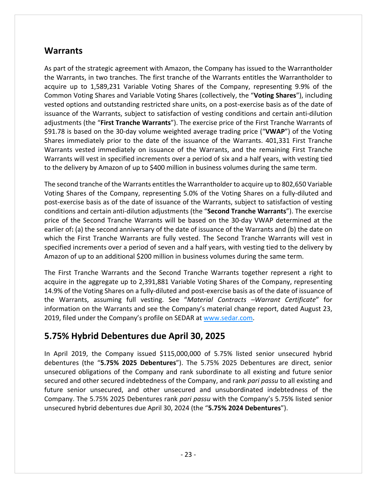### **Warrants**

As part of the strategic agreement with Amazon, the Company has issued to the Warrantholder the Warrants, in two tranches. The first tranche of the Warrants entitles the Warrantholder to acquire up to 1,589,231 Variable Voting Shares of the Company, representing 9.9% of the Common Voting Shares and Variable Voting Shares (collectively, the "**Voting Shares**"), including vested options and outstanding restricted share units, on a post-exercise basis as of the date of issuance of the Warrants, subject to satisfaction of vesting conditions and certain anti‐dilution adjustments (the "**First Tranche Warrants**"). The exercise price of the First Tranche Warrants of \$91.78 is based on the 30‐day volume weighted average trading price ("**VWAP**") of the Voting Shares immediately prior to the date of the issuance of the Warrants. 401,331 First Tranche Warrants vested immediately on issuance of the Warrants, and the remaining First Tranche Warrants will vest in specified increments over a period of six and a half years, with vesting tied to the delivery by Amazon of up to \$400 million in business volumes during the same term.

The second tranche of the Warrants entitles the Warrantholder to acquire up to 802,650 Variable Voting Shares of the Company, representing 5.0% of the Voting Shares on a fully‐diluted and post‐exercise basis as of the date of issuance of the Warrants, subject to satisfaction of vesting conditions and certain anti‐dilution adjustments (the "**Second Tranche Warrants**"). The exercise price of the Second Tranche Warrants will be based on the 30‐day VWAP determined at the earlier of**:** (a) the second anniversary of the date of issuance of the Warrants and (b) the date on which the First Tranche Warrants are fully vested. The Second Tranche Warrants will vest in specified increments over a period of seven and a half years, with vesting tied to the delivery by Amazon of up to an additional \$200 million in business volumes during the same term.

The First Tranche Warrants and the Second Tranche Warrants together represent a right to acquire in the aggregate up to 2,391,881 Variable Voting Shares of the Company, representing 14.9% of the Voting Shares on a fully-diluted and post-exercise basis as of the date of issuance of the Warrants, assuming full vesting. See "*Material Contracts –Warrant Certificate*" for information on the Warrants and see the Company's material change report, dated August 23, 2019, filed under the Company's profile on SEDAR at www.sedar.com.

## **5.75% Hybrid Debentures due April 30, 2025**

In April 2019, the Company issued \$115,000,000 of 5.75% listed senior unsecured hybrid debentures (the "**5.75% 2025 Debentures**"). The 5.75% 2025 Debentures are direct, senior unsecured obligations of the Company and rank subordinate to all existing and future senior secured and other secured indebtedness of the Company, and rank *pari passu* to all existing and future senior unsecured, and other unsecured and unsubordinated indebtedness of the Company. The 5.75% 2025 Debentures rank *pari passu* with the Company's 5.75% listed senior unsecured hybrid debentures due April 30, 2024 (the "**5.75% 2024 Debentures**").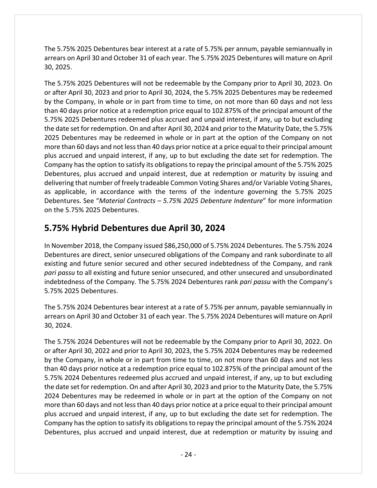The 5.75% 2025 Debentures bear interest at a rate of 5.75% per annum, payable semiannually in arrears on April 30 and October 31 of each year. The 5.75% 2025 Debentures will mature on April 30, 2025.

The 5.75% 2025 Debentures will not be redeemable by the Company prior to April 30, 2023. On or after April 30, 2023 and prior to April 30, 2024, the 5.75% 2025 Debentures may be redeemed by the Company, in whole or in part from time to time, on not more than 60 days and not less than 40 days prior notice at a redemption price equal to 102.875% of the principal amount of the 5.75% 2025 Debentures redeemed plus accrued and unpaid interest, if any, up to but excluding the date set for redemption. On and after April 30, 2024 and prior to the Maturity Date, the 5.75% 2025 Debentures may be redeemed in whole or in part at the option of the Company on not more than 60 days and not lessthan 40 days prior notice at a price equal to their principal amount plus accrued and unpaid interest, if any, up to but excluding the date set for redemption. The Company hasthe option to satisfy its obligationsto repay the principal amount of the 5.75% 2025 Debentures, plus accrued and unpaid interest, due at redemption or maturity by issuing and delivering that number of freely tradeable Common Voting Shares and/or Variable Voting Shares, as applicable, in accordance with the terms of the indenture governing the 5.75% 2025 Debentures. See "*Material Contracts – 5.75% 2025 Debenture Indenture*" for more information on the 5.75% 2025 Debentures.

## **5.75% Hybrid Debentures due April 30, 2024**

In November 2018, the Company issued \$86,250,000 of 5.75% 2024 Debentures. The 5.75% 2024 Debentures are direct, senior unsecured obligations of the Company and rank subordinate to all existing and future senior secured and other secured indebtedness of the Company, and rank *pari passu* to all existing and future senior unsecured, and other unsecured and unsubordinated indebtedness of the Company. The 5.75% 2024 Debentures rank *pari passu* with the Company's 5.75% 2025 Debentures.

The 5.75% 2024 Debentures bear interest at a rate of 5.75% per annum, payable semiannually in arrears on April 30 and October 31 of each year. The 5.75% 2024 Debentures will mature on April 30, 2024.

The 5.75% 2024 Debentures will not be redeemable by the Company prior to April 30, 2022. On or after April 30, 2022 and prior to April 30, 2023, the 5.75% 2024 Debentures may be redeemed by the Company, in whole or in part from time to time, on not more than 60 days and not less than 40 days prior notice at a redemption price equal to 102.875% of the principal amount of the 5.75% 2024 Debentures redeemed plus accrued and unpaid interest, if any, up to but excluding the date set for redemption. On and after April 30, 2023 and prior to the Maturity Date, the 5.75% 2024 Debentures may be redeemed in whole or in part at the option of the Company on not more than 60 days and not lessthan 40 days prior notice at a price equal to their principal amount plus accrued and unpaid interest, if any, up to but excluding the date set for redemption. The Company hasthe option to satisfy its obligationsto repay the principal amount of the 5.75% 2024 Debentures, plus accrued and unpaid interest, due at redemption or maturity by issuing and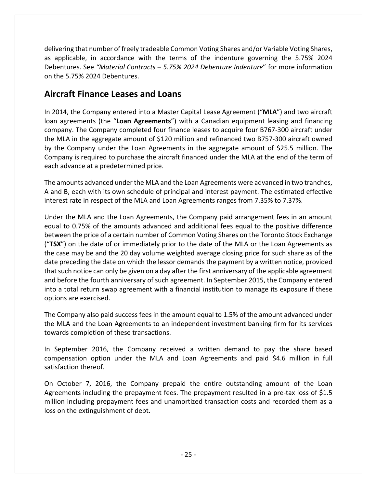delivering that number of freely tradeable Common Voting Shares and/or Variable Voting Shares, as applicable, in accordance with the terms of the indenture governing the 5.75% 2024 Debentures. See *"Material Contracts – 5.75% 2024 Debenture Indenture*" for more information on the 5.75% 2024 Debentures.

### **Aircraft Finance Leases and Loans**

In 2014, the Company entered into a Master Capital Lease Agreement ("**MLA**") and two aircraft loan agreements (the "**Loan Agreements**") with a Canadian equipment leasing and financing company. The Company completed four finance leases to acquire four B767‐300 aircraft under the MLA in the aggregate amount of \$120 million and refinanced two B757‐300 aircraft owned by the Company under the Loan Agreements in the aggregate amount of \$25.5 million. The Company is required to purchase the aircraft financed under the MLA at the end of the term of each advance at a predetermined price.

The amounts advanced under the MLA and the Loan Agreements were advanced in two tranches, A and B, each with its own schedule of principal and interest payment. The estimated effective interest rate in respect of the MLA and Loan Agreements ranges from 7.35% to 7.37%.

Under the MLA and the Loan Agreements, the Company paid arrangement fees in an amount equal to 0.75% of the amounts advanced and additional fees equal to the positive difference between the price of a certain number of Common Voting Shares on the Toronto Stock Exchange ("**TSX**") on the date of or immediately prior to the date of the MLA or the Loan Agreements as the case may be and the 20 day volume weighted average closing price for such share as of the date preceding the date on which the lessor demands the payment by a written notice, provided that such notice can only be given on a day after the first anniversary of the applicable agreement and before the fourth anniversary of such agreement. In September 2015, the Company entered into a total return swap agreement with a financial institution to manage its exposure if these options are exercised.

The Company also paid success fees in the amount equal to 1.5% of the amount advanced under the MLA and the Loan Agreements to an independent investment banking firm for its services towards completion of these transactions.

In September 2016, the Company received a written demand to pay the share based compensation option under the MLA and Loan Agreements and paid \$4.6 million in full satisfaction thereof.

On October 7, 2016, the Company prepaid the entire outstanding amount of the Loan Agreements including the prepayment fees. The prepayment resulted in a pre-tax loss of \$1.5 million including prepayment fees and unamortized transaction costs and recorded them as a loss on the extinguishment of debt.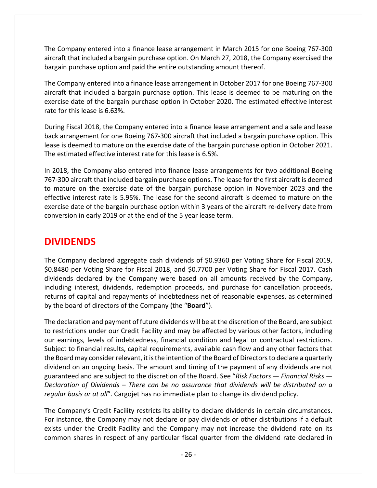The Company entered into a finance lease arrangement in March 2015 for one Boeing 767‐300 aircraft that included a bargain purchase option. On March 27, 2018, the Company exercised the bargain purchase option and paid the entire outstanding amount thereof.

The Company entered into a finance lease arrangement in October 2017 for one Boeing 767‐300 aircraft that included a bargain purchase option. This lease is deemed to be maturing on the exercise date of the bargain purchase option in October 2020. The estimated effective interest rate for this lease is 6.63%.

During Fiscal 2018, the Company entered into a finance lease arrangement and a sale and lease back arrangement for one Boeing 767‐300 aircraft that included a bargain purchase option. This lease is deemed to mature on the exercise date of the bargain purchase option in October 2021. The estimated effective interest rate for this lease is 6.5%.

In 2018, the Company also entered into finance lease arrangements for two additional Boeing 767‐300 aircraft that included bargain purchase options. The lease for the first aircraft is deemed to mature on the exercise date of the bargain purchase option in November 2023 and the effective interest rate is 5.95%. The lease for the second aircraft is deemed to mature on the exercise date of the bargain purchase option within 3 years of the aircraft re-delivery date from conversion in early 2019 or at the end of the 5 year lease term.

## **DIVIDENDS**

The Company declared aggregate cash dividends of \$0.9360 per Voting Share for Fiscal 2019, \$0.8480 per Voting Share for Fiscal 2018, and \$0.7700 per Voting Share for Fiscal 2017. Cash dividends declared by the Company were based on all amounts received by the Company, including interest, dividends, redemption proceeds, and purchase for cancellation proceeds, returns of capital and repayments of indebtedness net of reasonable expenses, as determined by the board of directors of the Company (the "**Board**").

The declaration and payment of future dividends will be at the discretion of the Board, are subject to restrictions under our Credit Facility and may be affected by various other factors, including our earnings, levels of indebtedness, financial condition and legal or contractual restrictions. Subject to financial results, capital requirements, available cash flow and any other factors that the Board may consider relevant, it is the intention of the Board of Directors to declare a quarterly dividend on an ongoing basis. The amount and timing of the payment of any dividends are not guaranteed and are subject to the discretion of the Board. See "*Risk Factors — Financial Risks — Declaration of Dividends – There can be no assurance that dividends will be distributed on a regular basis or at all*". Cargojet has no immediate plan to change its dividend policy.

The Company's Credit Facility restricts its ability to declare dividends in certain circumstances. For instance, the Company may not declare or pay dividends or other distributions if a default exists under the Credit Facility and the Company may not increase the dividend rate on its common shares in respect of any particular fiscal quarter from the dividend rate declared in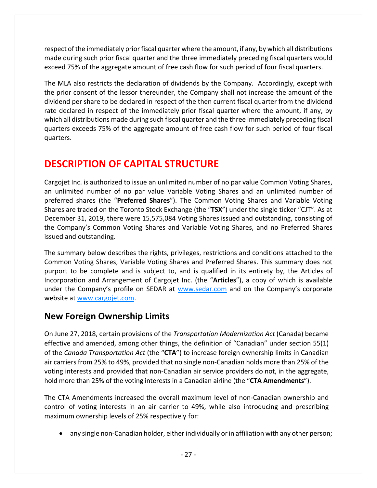respect of the immediately prior fiscal quarter where the amount, if any, by which all distributions made during such prior fiscal quarter and the three immediately preceding fiscal quarters would exceed 75% of the aggregate amount of free cash flow for such period of four fiscal quarters.

The MLA also restricts the declaration of dividends by the Company. Accordingly, except with the prior consent of the lessor thereunder, the Company shall not increase the amount of the dividend per share to be declared in respect of the then current fiscal quarter from the dividend rate declared in respect of the immediately prior fiscal quarter where the amount, if any, by which all distributions made during such fiscal quarter and the three immediately preceding fiscal quarters exceeds 75% of the aggregate amount of free cash flow for such period of four fiscal quarters.

## **DESCRIPTION OF CAPITAL STRUCTURE**

Cargojet Inc. is authorized to issue an unlimited number of no par value Common Voting Shares, an unlimited number of no par value Variable Voting Shares and an unlimited number of preferred shares (the "**Preferred Shares**"). The Common Voting Shares and Variable Voting Shares are traded on the Toronto Stock Exchange (the "**TSX**") under the single ticker "CJT". As at December 31, 2019, there were 15,575,084 Voting Shares issued and outstanding, consisting of the Company's Common Voting Shares and Variable Voting Shares, and no Preferred Shares issued and outstanding.

The summary below describes the rights, privileges, restrictions and conditions attached to the Common Voting Shares, Variable Voting Shares and Preferred Shares. This summary does not purport to be complete and is subject to, and is qualified in its entirety by, the Articles of Incorporation and Arrangement of Cargojet Inc. (the "**Articles**"), a copy of which is available under the Company's profile on SEDAR at www.sedar.com and on the Company's corporate website at www.cargojet.com.

### **New Foreign Ownership Limits**

On June 27, 2018, certain provisions of the *Transportation Modernization Act* (Canada) became effective and amended, among other things, the definition of "Canadian" under section 55(1) of the *Canada Transportation Act* (the "**CTA**") to increase foreign ownership limits in Canadian air carriers from 25% to 49%, provided that no single non‐Canadian holds more than 25% of the voting interests and provided that non‐Canadian air service providers do not, in the aggregate, hold more than 25% of the voting interests in a Canadian airline (the "**CTA Amendments**").

The CTA Amendments increased the overall maximum level of non‐Canadian ownership and control of voting interests in an air carrier to 49%, while also introducing and prescribing maximum ownership levels of 25% respectively for:

• any single non-Canadian holder, either individually or in affiliation with any other person;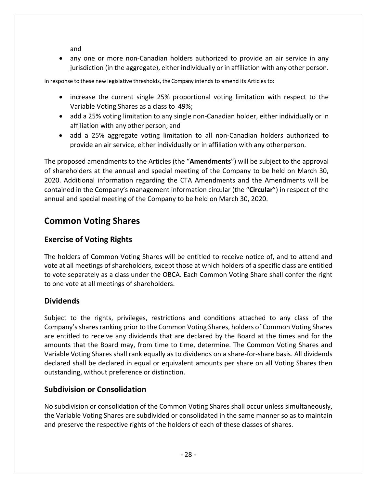and

■ any one or more non-Canadian holders authorized to provide an air service in any jurisdiction (in the aggregate), either individually or in affiliation with any other person.

In response to these new legislative thresholds, the Company intends to amend its Articles to:

- increase the current single 25% proportional voting limitation with respect to the Variable Voting Shares as a class to 49%;
- add a 25% voting limitation to any single non-Canadian holder, either individually or in affiliation with any other person; and
- add a 25% aggregate voting limitation to all non-Canadian holders authorized to provide an air service, either individually or in affiliation with any otherperson.

The proposed amendments to the Articles (the "**Amendments**") will be subject to the approval of shareholders at the annual and special meeting of the Company to be held on March 30, 2020. Additional information regarding the CTA Amendments and the Amendments will be contained in the Company's management information circular (the "**Circular**") in respect of the annual and special meeting of the Company to be held on March 30, 2020.

## **Common Voting Shares**

### **Exercise of Voting Rights**

The holders of Common Voting Shares will be entitled to receive notice of, and to attend and vote at all meetings of shareholders, except those at which holders of a specific class are entitled to vote separately as a class under the OBCA. Each Common Voting Share shall confer the right to one vote at all meetings of shareholders.

### **Dividends**

Subject to the rights, privileges, restrictions and conditions attached to any class of the Company's shares ranking prior to the Common Voting Shares, holders of Common Voting Shares are entitled to receive any dividends that are declared by the Board at the times and for the amounts that the Board may, from time to time, determine. The Common Voting Shares and Variable Voting Shares shall rank equally as to dividends on a share‐for‐share basis. All dividends declared shall be declared in equal or equivalent amounts per share on all Voting Shares then outstanding, without preference or distinction.

#### **Subdivision or Consolidation**

No subdivision or consolidation of the Common Voting Shares shall occur unless simultaneously, the Variable Voting Shares are subdivided or consolidated in the same manner so as to maintain and preserve the respective rights of the holders of each of these classes of shares.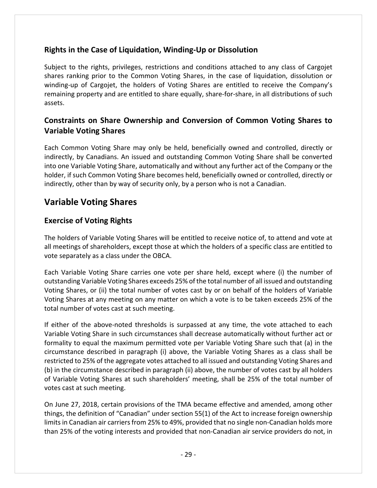### **Rights in the Case of Liquidation, Winding‐Up or Dissolution**

Subject to the rights, privileges, restrictions and conditions attached to any class of Cargojet shares ranking prior to the Common Voting Shares, in the case of liquidation, dissolution or winding-up of Cargojet, the holders of Voting Shares are entitled to receive the Company's remaining property and are entitled to share equally, share‐for‐share, in all distributions of such assets.

### **Constraints on Share Ownership and Conversion of Common Voting Shares to Variable Voting Shares**

Each Common Voting Share may only be held, beneficially owned and controlled, directly or indirectly, by Canadians. An issued and outstanding Common Voting Share shall be converted into one Variable Voting Share, automatically and without any further act of the Company or the holder, if such Common Voting Share becomes held, beneficially owned or controlled, directly or indirectly, other than by way of security only, by a person who is not a Canadian.

## **Variable Voting Shares**

### **Exercise of Voting Rights**

The holders of Variable Voting Shares will be entitled to receive notice of, to attend and vote at all meetings of shareholders, except those at which the holders of a specific class are entitled to vote separately as a class under the OBCA.

Each Variable Voting Share carries one vote per share held, except where (i) the number of outstanding Variable Voting Shares exceeds 25% of the total number of all issued and outstanding Voting Shares, or (ii) the total number of votes cast by or on behalf of the holders of Variable Voting Shares at any meeting on any matter on which a vote is to be taken exceeds 25% of the total number of votes cast at such meeting.

If either of the above‐noted thresholds is surpassed at any time, the vote attached to each Variable Voting Share in such circumstances shall decrease automatically without further act or formality to equal the maximum permitted vote per Variable Voting Share such that (a) in the circumstance described in paragraph (i) above, the Variable Voting Shares as a class shall be restricted to 25% of the aggregate votes attached to all issued and outstanding Voting Shares and (b) in the circumstance described in paragraph (ii) above, the number of votes cast by all holders of Variable Voting Shares at such shareholders' meeting, shall be 25% of the total number of votes cast at such meeting.

On June 27, 2018, certain provisions of the TMA became effective and amended, among other things, the definition of "Canadian" under section 55(1) of the Act to increase foreign ownership limits in Canadian air carriers from 25% to 49%, provided that no single non-Canadian holds more than 25% of the voting interests and provided that non‐Canadian air service providers do not, in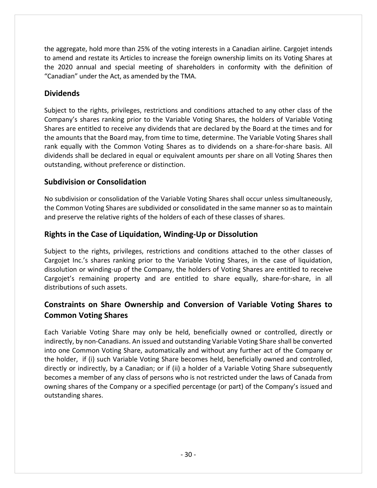the aggregate, hold more than 25% of the voting interests in a Canadian airline. Cargojet intends to amend and restate its Articles to increase the foreign ownership limits on its Voting Shares at the 2020 annual and special meeting of shareholders in conformity with the definition of "Canadian" under the Act, as amended by the TMA.

### **Dividends**

Subject to the rights, privileges, restrictions and conditions attached to any other class of the Company's shares ranking prior to the Variable Voting Shares, the holders of Variable Voting Shares are entitled to receive any dividends that are declared by the Board at the times and for the amounts that the Board may, from time to time, determine. The Variable Voting Shares shall rank equally with the Common Voting Shares as to dividends on a share‐for‐share basis. All dividends shall be declared in equal or equivalent amounts per share on all Voting Shares then outstanding, without preference or distinction.

#### **Subdivision or Consolidation**

No subdivision or consolidation of the Variable Voting Shares shall occur unless simultaneously, the Common Voting Shares are subdivided or consolidated in the same manner so as to maintain and preserve the relative rights of the holders of each of these classes of shares.

### **Rights in the Case of Liquidation, Winding‐Up or Dissolution**

Subject to the rights, privileges, restrictions and conditions attached to the other classes of Cargojet Inc.'s shares ranking prior to the Variable Voting Shares, in the case of liquidation, dissolution or winding‐up of the Company, the holders of Voting Shares are entitled to receive Cargojet's remaining property and are entitled to share equally, share‐for‐share, in all distributions of such assets.

### **Constraints on Share Ownership and Conversion of Variable Voting Shares to Common Voting Shares**

Each Variable Voting Share may only be held, beneficially owned or controlled, directly or indirectly, by non‐Canadians. An issued and outstanding Variable Voting Share shall be converted into one Common Voting Share, automatically and without any further act of the Company or the holder, if (i) such Variable Voting Share becomes held, beneficially owned and controlled, directly or indirectly, by a Canadian; or if (ii) a holder of a Variable Voting Share subsequently becomes a member of any class of persons who is not restricted under the laws of Canada from owning shares of the Company or a specified percentage (or part) of the Company's issued and outstanding shares.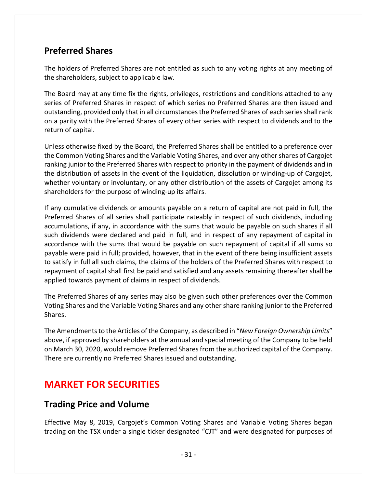### **Preferred Shares**

The holders of Preferred Shares are not entitled as such to any voting rights at any meeting of the shareholders, subject to applicable law.

The Board may at any time fix the rights, privileges, restrictions and conditions attached to any series of Preferred Shares in respect of which series no Preferred Shares are then issued and outstanding, provided only that in all circumstances the Preferred Shares of each series shall rank on a parity with the Preferred Shares of every other series with respect to dividends and to the return of capital.

Unless otherwise fixed by the Board, the Preferred Shares shall be entitled to a preference over the Common Voting Shares and the Variable Voting Shares, and over any other shares of Cargojet ranking junior to the Preferred Shares with respect to priority in the payment of dividends and in the distribution of assets in the event of the liquidation, dissolution or winding‐up of Cargojet, whether voluntary or involuntary, or any other distribution of the assets of Cargojet among its shareholders for the purpose of winding‐up its affairs.

If any cumulative dividends or amounts payable on a return of capital are not paid in full, the Preferred Shares of all series shall participate rateably in respect of such dividends, including accumulations, if any, in accordance with the sums that would be payable on such shares if all such dividends were declared and paid in full, and in respect of any repayment of capital in accordance with the sums that would be payable on such repayment of capital if all sums so payable were paid in full; provided, however, that in the event of there being insufficient assets to satisfy in full all such claims, the claims of the holders of the Preferred Shares with respect to repayment of capital shall first be paid and satisfied and any assets remaining thereafter shall be applied towards payment of claims in respect of dividends.

The Preferred Shares of any series may also be given such other preferences over the Common Voting Shares and the Variable Voting Shares and any other share ranking junior to the Preferred Shares.

The Amendmentsto the Articles of the Company, as described in "*New Foreign Ownership Limits*" above, if approved by shareholders at the annual and special meeting of the Company to be held on March 30, 2020, would remove Preferred Shares from the authorized capital of the Company. There are currently no Preferred Shares issued and outstanding.

## **MARKET FOR SECURITIES**

### **Trading Price and Volume**

Effective May 8, 2019, Cargojet's Common Voting Shares and Variable Voting Shares began trading on the TSX under a single ticker designated "CJT" and were designated for purposes of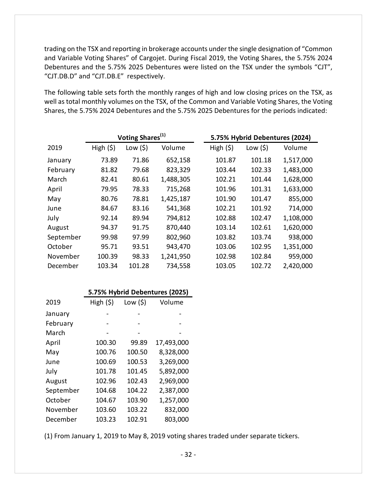trading on the TSX and reporting in brokerage accounts under the single designation of "Common and Variable Voting Shares" of Cargojet. During Fiscal 2019, the Voting Shares, the 5.75% 2024 Debentures and the 5.75% 2025 Debentures were listed on the TSX under the symbols "CJT", "CJT.DB.D" and "CJT.DB.E" respectively.

The following table sets forth the monthly ranges of high and low closing prices on the TSX, as well as total monthly volumes on the TSX, of the Common and Variable Voting Shares, the Voting Shares, the 5.75% 2024 Debentures and the 5.75% 2025 Debentures for the periods indicated:

|           | Voting Shares <sup>(1)</sup> |           |           | 5.75% Hybrid Debentures (2024) |           |           |  |
|-----------|------------------------------|-----------|-----------|--------------------------------|-----------|-----------|--|
| 2019      | High (5)                     | Low $(5)$ | Volume    | High (5)                       | Low $(5)$ | Volume    |  |
| January   | 73.89                        | 71.86     | 652,158   | 101.87                         | 101.18    | 1,517,000 |  |
| February  | 81.82                        | 79.68     | 823,329   | 103.44                         | 102.33    | 1,483,000 |  |
| March     | 82.41                        | 80.61     | 1,488,305 | 102.21                         | 101.44    | 1,628,000 |  |
| April     | 79.95                        | 78.33     | 715,268   | 101.96                         | 101.31    | 1,633,000 |  |
| May       | 80.76                        | 78.81     | 1,425,187 | 101.90                         | 101.47    | 855,000   |  |
| June      | 84.67                        | 83.16     | 541,368   | 102.21                         | 101.92    | 714,000   |  |
| July      | 92.14                        | 89.94     | 794,812   | 102.88                         | 102.47    | 1,108,000 |  |
| August    | 94.37                        | 91.75     | 870,440   | 103.14                         | 102.61    | 1,620,000 |  |
| September | 99.98                        | 97.99     | 802,960   | 103.82                         | 103.74    | 938,000   |  |
| October   | 95.71                        | 93.51     | 943,470   | 103.06                         | 102.95    | 1,351,000 |  |
| November  | 100.39                       | 98.33     | 1,241,950 | 102.98                         | 102.84    | 959,000   |  |
| December  | 103.34                       | 101.28    | 734,558   | 103.05                         | 102.72    | 2,420,000 |  |

|           | 5.75% Hybrid Debentures (2025) |           |            |  |
|-----------|--------------------------------|-----------|------------|--|
| 2019      | High $(5)$                     | Low $(5)$ | Volume     |  |
| January   |                                |           |            |  |
| February  |                                |           |            |  |
| March     |                                |           | -          |  |
| April     | 100.30                         | 99.89     | 17,493,000 |  |
| May       | 100.76                         | 100.50    | 8,328,000  |  |
| June      | 100.69                         | 100.53    | 3,269,000  |  |
| July      | 101.78                         | 101.45    | 5,892,000  |  |
| August    | 102.96                         | 102.43    | 2,969,000  |  |
| September | 104.68                         | 104.22    | 2,387,000  |  |
| October   | 104.67                         | 103.90    | 1,257,000  |  |
| November  | 103.60                         | 103.22    | 832,000    |  |
| December  | 103.23                         | 102.91    | 803,000    |  |

(1) From January 1, 2019 to May 8, 2019 voting shares traded under separate tickers.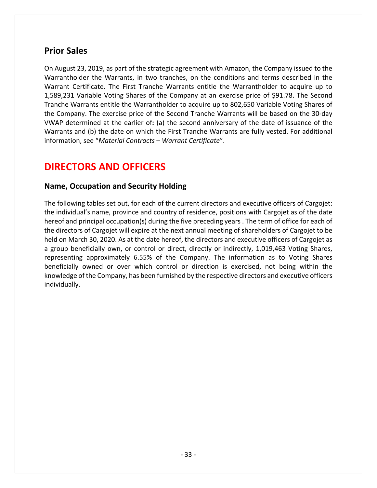### **Prior Sales**

On August 23, 2019, as part of the strategic agreement with Amazon, the Company issued to the Warrantholder the Warrants, in two tranches, on the conditions and terms described in the Warrant Certificate. The First Tranche Warrants entitle the Warrantholder to acquire up to 1,589,231 Variable Voting Shares of the Company at an exercise price of \$91.78. The Second Tranche Warrants entitle the Warrantholder to acquire up to 802,650 Variable Voting Shares of the Company. The exercise price of the Second Tranche Warrants will be based on the 30‐day VWAP determined at the earlier of**:** (a) the second anniversary of the date of issuance of the Warrants and (b) the date on which the First Tranche Warrants are fully vested. For additional information, see "*Material Contracts – Warrant Certificate*".

## **DIRECTORS AND OFFICERS**

#### **Name, Occupation and Security Holding**

The following tables set out, for each of the current directors and executive officers of Cargojet: the individual's name, province and country of residence, positions with Cargojet as of the date hereof and principal occupation(s) during the five preceding years . The term of office for each of the directors of Cargojet will expire at the next annual meeting of shareholders of Cargojet to be held on March 30, 2020. As at the date hereof, the directors and executive officers of Cargojet as a group beneficially own, or control or direct, directly or indirectly, 1,019,463 Voting Shares, representing approximately 6.55% of the Company. The information as to Voting Shares beneficially owned or over which control or direction is exercised, not being within the knowledge of the Company, has been furnished by the respective directors and executive officers individually.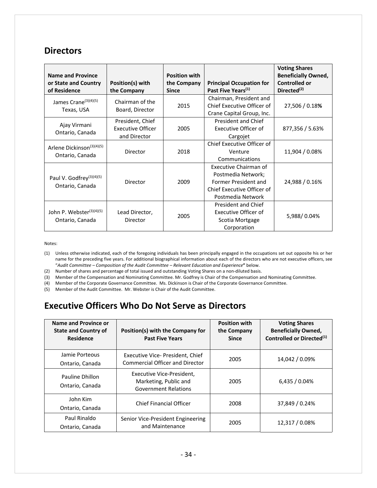### **Directors**

| <b>Name and Province</b><br>or State and Country<br>of Residence | Position(s) with<br>the Company                              | <b>Position with</b><br>the Company<br><b>Since</b> | <b>Principal Occupation for</b><br>Past Five Years <sup>(1)</sup>                                                      | <b>Voting Shares</b><br><b>Beneficially Owned,</b><br><b>Controlled or</b><br>Directed <sup>(2)</sup> |
|------------------------------------------------------------------|--------------------------------------------------------------|-----------------------------------------------------|------------------------------------------------------------------------------------------------------------------------|-------------------------------------------------------------------------------------------------------|
| James Crane <sup>(3)(4)(5)</sup><br>Texas, USA                   | Chairman of the<br>Board, Director                           | 2015                                                | Chairman, President and<br>Chief Executive Officer of<br>Crane Capital Group, Inc.                                     | 27,506 / 0.18%                                                                                        |
| Ajay Virmani<br>Ontario, Canada                                  | President, Chief<br><b>Executive Officer</b><br>and Director | 2005                                                | President and Chief<br><b>Executive Officer of</b><br>Cargojet                                                         | 877,356 / 5.63%                                                                                       |
| Arlene Dickinson <sup>(3)(4)(5)</sup><br>Ontario, Canada         | Director                                                     | 2018                                                | Chief Executive Officer of<br>Venture<br>Communications                                                                | 11,904 / 0.08%                                                                                        |
| Paul V. Godfrey <sup>(3)(4)(5)</sup><br>Ontario, Canada          | Director                                                     | 2009                                                | Executive Chairman of<br>Postmedia Network;<br>Former President and<br>Chief Executive Officer of<br>Postmedia Network | 24,988 / 0.16%                                                                                        |
| John P. Webster <sup>(3)(4)(5)</sup><br>Ontario, Canada          | Lead Director,<br>Director                                   | 2005                                                | President and Chief<br>Executive Officer of<br>Scotia Mortgage<br>Corporation                                          | 5,988/0.04%                                                                                           |

Notes:

(1) Unless otherwise indicated, each of the foregoing individuals has been principally engaged in the occupations set out opposite his or her name for the preceding five years. For additional biographical information about each of the directors who are not executive officers, see "*Audit Committee – Composition of the Audit Committee – Relevant Education and Experience***"** below.

(2) Number of shares and percentage of total issued and outstanding Voting Shares on a non‐diluted basis.

(3) Member of the Compensation and Nominating Committee. Mr. Godfrey is Chair of the Compensation and Nominating Committee.

(4) Member of the Corporate Governance Committee. Ms. Dickinson is Chair of the Corporate Governance Committee.

(5) Member of the Audit Committee. Mr. Webster is Chair of the Audit Committee.

## **Executive Officers Who Do Not Serve as Directors**

| Name and Province or<br><b>State and Country of</b><br><b>Residence</b> | Position(s) with the Company for<br><b>Past Five Years</b>                        | <b>Position with</b><br>the Company<br><b>Since</b> | <b>Voting Shares</b><br><b>Beneficially Owned,</b><br>Controlled or Directed <sup>(1)</sup> |
|-------------------------------------------------------------------------|-----------------------------------------------------------------------------------|-----------------------------------------------------|---------------------------------------------------------------------------------------------|
| Jamie Porteous<br>Ontario, Canada                                       | Executive Vice-President, Chief<br><b>Commercial Officer and Director</b>         | 2005                                                | 14,042 / 0.09%                                                                              |
| Pauline Dhillon<br>Ontario, Canada                                      | Executive Vice-President,<br>Marketing, Public and<br><b>Government Relations</b> | 2005                                                | 6,435/0.04%                                                                                 |
| John Kim<br>Ontario, Canada                                             | Chief Financial Officer                                                           | 2008                                                | 37,849 / 0.24%                                                                              |
| Paul Rinaldo<br>Ontario, Canada                                         | Senior Vice-President Engineering<br>and Maintenance                              | 2005                                                | 12,317 / 0.08%                                                                              |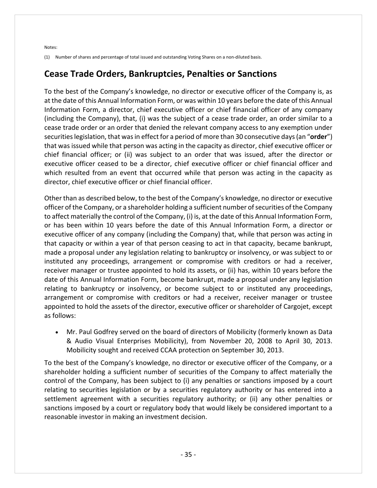Notes:

(1) Number of shares and percentage of total issued and outstanding Voting Shares on a non‐diluted basis.

### **Cease Trade Orders, Bankruptcies, Penalties or Sanctions**

To the best of the Company's knowledge, no director or executive officer of the Company is, as at the date of this Annual Information Form, or was within 10 years before the date of this Annual Information Form, a director, chief executive officer or chief financial officer of any company (including the Company), that, (i) was the subject of a cease trade order, an order similar to a cease trade order or an order that denied the relevant company access to any exemption under securitieslegislation, that wasin effect for a period of more than 30 consecutive days(an "**order**") that was issued while that person was acting in the capacity as director, chief executive officer or chief financial officer; or (ii) was subject to an order that was issued, after the director or executive officer ceased to be a director, chief executive officer or chief financial officer and which resulted from an event that occurred while that person was acting in the capacity as director, chief executive officer or chief financial officer.

Other than as described below, to the best of the Company's knowledge, no director or executive officer of the Company, or a shareholder holding a sufficient number ofsecurities of the Company to affect materially the control of the Company, (i) is, at the date of this Annual Information Form, or has been within 10 years before the date of this Annual Information Form, a director or executive officer of any company (including the Company) that, while that person was acting in that capacity or within a year of that person ceasing to act in that capacity, became bankrupt, made a proposal under any legislation relating to bankruptcy or insolvency, or was subject to or instituted any proceedings, arrangement or compromise with creditors or had a receiver, receiver manager or trustee appointed to hold its assets, or (ii) has, within 10 years before the date of this Annual Information Form, become bankrupt, made a proposal under any legislation relating to bankruptcy or insolvency, or become subject to or instituted any proceedings, arrangement or compromise with creditors or had a receiver, receiver manager or trustee appointed to hold the assets of the director, executive officer or shareholder of Cargojet, except as follows:

 Mr. Paul Godfrey served on the board of directors of Mobilicity (formerly known as Data & Audio Visual Enterprises Mobilicity), from November 20, 2008 to April 30, 2013. Mobilicity sought and received CCAA protection on September 30, 2013.

To the best of the Company's knowledge, no director or executive officer of the Company, or a shareholder holding a sufficient number of securities of the Company to affect materially the control of the Company, has been subject to (i) any penalties or sanctions imposed by a court relating to securities legislation or by a securities regulatory authority or has entered into a settlement agreement with a securities regulatory authority; or (ii) any other penalties or sanctions imposed by a court or regulatory body that would likely be considered important to a reasonable investor in making an investment decision.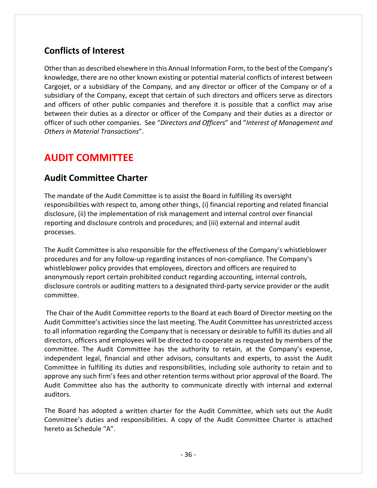## **Conflicts of Interest**

Other than as described elsewhere in this Annual Information Form, to the best of the Company's knowledge, there are no other known existing or potential material conflicts of interest between Cargojet, or a subsidiary of the Company, and any director or officer of the Company or of a subsidiary of the Company, except that certain of such directors and officers serve as directors and officers of other public companies and therefore it is possible that a conflict may arise between their duties as a director or officer of the Company and their duties as a director or officer of such other companies. See "*Directors and Officers*" and "*Interest of Management and Others in Material Transactions*".

## **AUDIT COMMITTEE**

### **Audit Committee Charter**

The mandate of the Audit Committee is to assist the Board in fulfilling its oversight responsibilities with respect to, among other things, (i) financial reporting and related financial disclosure, (ii) the implementation of risk management and internal control over financial reporting and disclosure controls and procedures; and (iii) external and internal audit processes.

The Audit Committee is also responsible for the effectiveness of the Company's whistleblower procedures and for any follow‐up regarding instances of non‐compliance. The Company's whistleblower policy provides that employees, directors and officers are required to anonymously report certain prohibited conduct regarding accounting, internal controls, disclosure controls or auditing matters to a designated third‐party service provider or the audit committee.

The Chair of the Audit Committee reports to the Board at each Board of Director meeting on the Audit Committee's activities since the last meeting. The Audit Committee has unrestricted access to all information regarding the Company that is necessary or desirable to fulfill its duties and all directors, officers and employees will be directed to cooperate as requested by members of the committee. The Audit Committee has the authority to retain, at the Company's expense, independent legal, financial and other advisors, consultants and experts, to assist the Audit Committee in fulfilling its duties and responsibilities, including sole authority to retain and to approve any such firm's fees and other retention terms without prior approval of the Board. The Audit Committee also has the authority to communicate directly with internal and external auditors.

The Board has adopted a written charter for the Audit Committee, which sets out the Audit Committee's duties and responsibilities. A copy of the Audit Committee Charter is attached hereto as Schedule "A".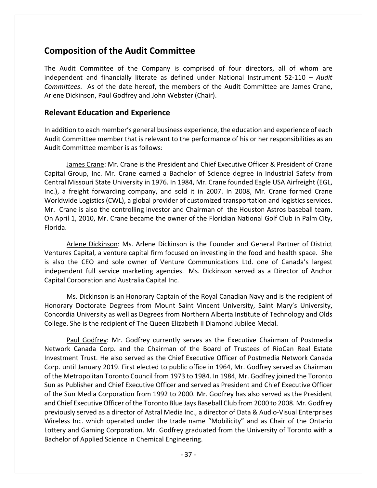### **Composition of the Audit Committee**

The Audit Committee of the Company is comprised of four directors, all of whom are independent and financially literate as defined under National Instrument 52‐110 – *Audit Committees*. As of the date hereof, the members of the Audit Committee are James Crane, Arlene Dickinson, Paul Godfrey and John Webster (Chair).

#### **Relevant Education and Experience**

In addition to each member's general business experience, the education and experience of each Audit Committee member that is relevant to the performance of his or her responsibilities as an Audit Committee member is as follows:

James Crane: Mr. Crane is the President and Chief Executive Officer & President of Crane Capital Group, Inc. Mr. Crane earned a Bachelor of Science degree in Industrial Safety from Central Missouri State University in 1976. In 1984, Mr. Crane founded Eagle USA Airfreight (EGL, Inc.), a freight forwarding company, and sold it in 2007. In 2008, Mr. Crane formed Crane Worldwide Logistics (CWL), a global provider of customized transportation and logistics services. Mr. Crane is also the controlling investor and Chairman of the Houston Astros baseball team. On April 1, 2010, Mr. Crane became the owner of the Floridian National Golf Club in Palm City, Florida.

Arlene Dickinson: Ms. Arlene Dickinson is the Founder and General Partner of District Ventures Capital, a venture capital firm focused on investing in the food and health space. She is also the CEO and sole owner of Venture Communications Ltd. one of Canada's largest independent full service marketing agencies. Ms. Dickinson served as a Director of Anchor Capital Corporation and Australia Capital Inc.

Ms. Dickinson is an Honorary Captain of the Royal Canadian Navy and is the recipient of Honorary Doctorate Degrees from Mount Saint Vincent University, Saint Mary's University, Concordia University as well as Degrees from Northern Alberta Institute of Technology and Olds College. She is the recipient of The Queen Elizabeth II Diamond Jubilee Medal.

Paul Godfrey: Mr. Godfrey currently serves as the Executive Chairman of Postmedia Network Canada Corp. and the Chairman of the Board of Trustees of RioCan Real Estate Investment Trust. He also served as the Chief Executive Officer of Postmedia Network Canada Corp. until January 2019. First elected to public office in 1964, Mr. Godfrey served as Chairman of the Metropolitan Toronto Council from 1973 to 1984. In 1984, Mr. Godfrey joined the Toronto Sun as Publisher and Chief Executive Officer and served as President and Chief Executive Officer of the Sun Media Corporation from 1992 to 2000. Mr. Godfrey has also served as the President and Chief Executive Officer of the Toronto Blue Jays Baseball Club from 2000 to 2008. Mr. Godfrey previously served as a director of Astral Media Inc., a director of Data & Audio‐Visual Enterprises Wireless Inc. which operated under the trade name "Mobilicity" and as Chair of the Ontario Lottery and Gaming Corporation. Mr. Godfrey graduated from the University of Toronto with a Bachelor of Applied Science in Chemical Engineering.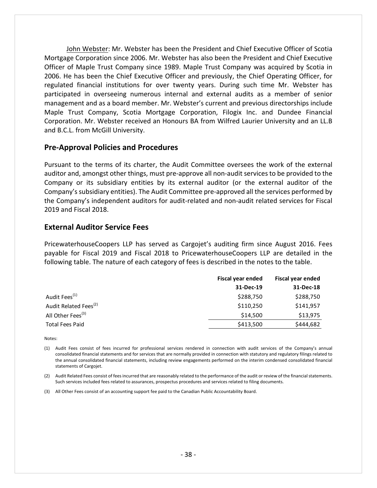John Webster: Mr. Webster has been the President and Chief Executive Officer of Scotia Mortgage Corporation since 2006. Mr. Webster has also been the President and Chief Executive Officer of Maple Trust Company since 1989. Maple Trust Company was acquired by Scotia in 2006. He has been the Chief Executive Officer and previously, the Chief Operating Officer, for regulated financial institutions for over twenty years. During such time Mr. Webster has participated in overseeing numerous internal and external audits as a member of senior management and as a board member. Mr. Webster's current and previous directorships include Maple Trust Company, Scotia Mortgage Corporation, Filogix Inc. and Dundee Financial Corporation. Mr. Webster received an Honours BA from Wilfred Laurier University and an LL.B and B.C.L. from McGill University.

#### **Pre‐Approval Policies and Procedures**

Pursuant to the terms of its charter, the Audit Committee oversees the work of the external auditor and, amongst other things, must pre‐approve all non‐audit services to be provided to the Company or its subsidiary entities by its external auditor (or the external auditor of the Company'ssubsidiary entities). The Audit Committee pre‐approved all the services performed by the Company's independent auditors for audit-related and non-audit related services for Fiscal 2019 and Fiscal 2018.

#### **External Auditor Service Fees**

PricewaterhouseCoopers LLP has served as Cargojet's auditing firm since August 2016. Fees payable for Fiscal 2019 and Fiscal 2018 to PricewaterhouseCoopers LLP are detailed in the following table. The nature of each category of fees is described in the notes to the table.

|                                   | <b>Fiscal year ended</b> | <b>Fiscal year ended</b> |
|-----------------------------------|--------------------------|--------------------------|
|                                   | 31-Dec-19                | 31-Dec-18                |
| Audit Fees <sup>(1)</sup>         | \$288,750                | \$288,750                |
| Audit Related Fees <sup>(2)</sup> | \$110,250                | \$141,957                |
| All Other Fees <sup>(3)</sup>     | \$14,500                 | \$13,975                 |
| <b>Total Fees Paid</b>            | \$413,500                | \$444,682                |

Notes:

<sup>(1)</sup> Audit Fees consist of fees incurred for professional services rendered in connection with audit services of the Company's annual consolidated financial statements and for services that are normally provided in connection with statutory and regulatory filings related to the annual consolidated financial statements, including review engagements performed on the interim condensed consolidated financial statements of Cargojet.

<sup>(2)</sup> Audit Related Fees consist of feesincurred that are reasonably related to the performance of the audit or review of the financialstatements. Such services included fees related to assurances, prospectus procedures and services related to filing documents.

<sup>(3)</sup> All Other Fees consist of an accounting support fee paid to the Canadian Public Accountability Board.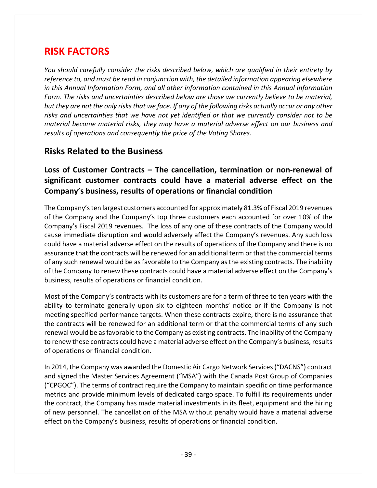## **RISK FACTORS**

*You should carefully consider the risks described below, which are qualified in their entirety by reference to, and must be read in conjunction with, the detailed information appearing elsewhere in this Annual Information Form, and all other information contained in this Annual Information Form. The risks and uncertainties described below are those we currently believe to be material,* but they are not the only risks that we face. If any of the following risks actually occur or any other *risks and uncertainties that we have not yet identified or that we currently consider not to be material become material risks, they may have a material adverse effect on our business and results of operations and consequently the price of the Voting Shares.*

### **Risks Related to the Business**

### **Loss of Customer Contracts – The cancellation, termination or non‐renewal of significant customer contracts could have a material adverse effect on the Company's business, results of operations or financial condition**

The Company'sten largest customers accounted for approximately 81.3% of Fiscal 2019 revenues of the Company and the Company's top three customers each accounted for over 10% of the Company's Fiscal 2019 revenues. The loss of any one of these contracts of the Company would cause immediate disruption and would adversely affect the Company's revenues. Any such loss could have a material adverse effect on the results of operations of the Company and there is no assurance that the contracts will be renewed for an additional term or that the commercial terms of any such renewal would be asfavorable to the Company asthe existing contracts. The inability of the Company to renew these contracts could have a material adverse effect on the Company's business, results of operations or financial condition.

Most of the Company's contracts with its customers are for a term of three to ten years with the ability to terminate generally upon six to eighteen months' notice or if the Company is not meeting specified performance targets. When these contracts expire, there is no assurance that the contracts will be renewed for an additional term or that the commercial terms of any such renewal would be asfavorable to the Company as existing contracts. The inability of the Company to renew these contracts could have a material adverse effect on the Company's business, results of operations or financial condition.

In 2014, the Company was awarded the Domestic Air Cargo Network Services("DACNS") contract and signed the Master Services Agreement ("MSA") with the Canada Post Group of Companies ("CPGOC"). The terms of contract require the Company to maintain specific on time performance metrics and provide minimum levels of dedicated cargo space. To fulfill its requirements under the contract, the Company has made material investments in its fleet, equipment and the hiring of new personnel. The cancellation of the MSA without penalty would have a material adverse effect on the Company's business, results of operations or financial condition.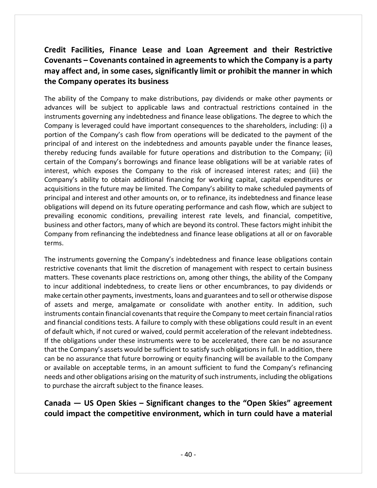### **Credit Facilities, Finance Lease and Loan Agreement and their Restrictive Covenants – Covenants contained in agreementsto which the Company is a party may affect and, in some cases, significantly limit or prohibit the manner in which the Company operates its business**

The ability of the Company to make distributions, pay dividends or make other payments or advances will be subject to applicable laws and contractual restrictions contained in the instruments governing any indebtedness and finance lease obligations. The degree to which the Company is leveraged could have important consequences to the shareholders, including: (i) a portion of the Company's cash flow from operations will be dedicated to the payment of the principal of and interest on the indebtedness and amounts payable under the finance leases, thereby reducing funds available for future operations and distribution to the Company; (ii) certain of the Company's borrowings and finance lease obligations will be at variable rates of interest, which exposes the Company to the risk of increased interest rates; and (iii) the Company's ability to obtain additional financing for working capital, capital expenditures or acquisitions in the future may be limited. The Company's ability to make scheduled payments of principal and interest and other amounts on, or to refinance, its indebtedness and finance lease obligations will depend on its future operating performance and cash flow, which are subject to prevailing economic conditions, prevailing interest rate levels, and financial, competitive, business and other factors, many of which are beyond its control. These factors might inhibit the Company from refinancing the indebtedness and finance lease obligations at all or on favorable terms.

The instruments governing the Company's indebtedness and finance lease obligations contain restrictive covenants that limit the discretion of management with respect to certain business matters. These covenants place restrictions on, among other things, the ability of the Company to incur additional indebtedness, to create liens or other encumbrances, to pay dividends or make certain other payments, investments, loans and guarantees and to sell or otherwise dispose of assets and merge, amalgamate or consolidate with another entity. In addition, such instruments contain financial covenants that require the Company to meet certain financial ratios and financial conditions tests. A failure to comply with these obligations could result in an event of default which, if not cured or waived, could permit acceleration of the relevant indebtedness. If the obligations under these instruments were to be accelerated, there can be no assurance that the Company's assets would be sufficient to satisfy such obligations in full. In addition, there can be no assurance that future borrowing or equity financing will be available to the Company or available on acceptable terms, in an amount sufficient to fund the Company's refinancing needs and other obligations arising on the maturity of such instruments, including the obligations to purchase the aircraft subject to the finance leases.

### **Canada — US Open Skies – Significant changes to the "Open Skies" agreement could impact the competitive environment, which in turn could have a material**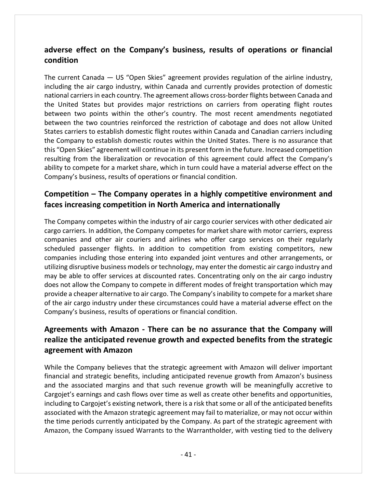### **adverse effect on the Company's business, results of operations or financial condition**

The current Canada — US "Open Skies" agreement provides regulation of the airline industry, including the air cargo industry, within Canada and currently provides protection of domestic national carriersin each country. The agreement allows cross‐border flights between Canada and the United States but provides major restrictions on carriers from operating flight routes between two points within the other's country. The most recent amendments negotiated between the two countries reinforced the restriction of cabotage and does not allow United States carriers to establish domestic flight routes within Canada and Canadian carriers including the Company to establish domestic routes within the United States. There is no assurance that this "Open Skies" agreement will continue in its present form in the future. Increased competition resulting from the liberalization or revocation of this agreement could affect the Company's ability to compete for a market share, which in turn could have a material adverse effect on the Company's business, results of operations or financial condition.

### **Competition – The Company operates in a highly competitive environment and faces increasing competition in North America and internationally**

The Company competes within the industry of air cargo courier services with other dedicated air cargo carriers. In addition, the Company competes for market share with motor carriers, express companies and other air couriers and airlines who offer cargo services on their regularly scheduled passenger flights. In addition to competition from existing competitors, new companies including those entering into expanded joint ventures and other arrangements, or utilizing disruptive business models or technology, may enter the domestic air cargo industry and may be able to offer services at discounted rates. Concentrating only on the air cargo industry does not allow the Company to compete in different modes of freight transportation which may provide a cheaper alternative to air cargo. The Company's inability to compete for a market share of the air cargo industry under these circumstances could have a material adverse effect on the Company's business, results of operations or financial condition.

### **Agreements with Amazon ‐ There can be no assurance that the Company will realize the anticipated revenue growth and expected benefits from the strategic agreement with Amazon**

While the Company believes that the strategic agreement with Amazon will deliver important financial and strategic benefits, including anticipated revenue growth from Amazon's business and the associated margins and that such revenue growth will be meaningfully accretive to Cargojet's earnings and cash flows over time as well as create other benefits and opportunities, including to Cargojet's existing network, there is a risk that some or all of the anticipated benefits associated with the Amazon strategic agreement may fail to materialize, or may not occur within the time periods currently anticipated by the Company. As part of the strategic agreement with Amazon, the Company issued Warrants to the Warrantholder, with vesting tied to the delivery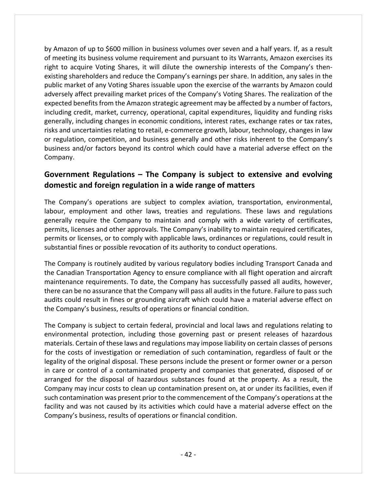by Amazon of up to \$600 million in business volumes over seven and a half years. If, as a result of meeting its business volume requirement and pursuant to its Warrants, Amazon exercises its right to acquire Voting Shares, it will dilute the ownership interests of the Company's then‐ existing shareholders and reduce the Company's earnings per share. In addition, any sales in the public market of any Voting Shares issuable upon the exercise of the warrants by Amazon could adversely affect prevailing market prices of the Company's Voting Shares. The realization of the expected benefits from the Amazon strategic agreement may be affected by a number of factors, including credit, market, currency, operational, capital expenditures, liquidity and funding risks generally, including changes in economic conditions, interest rates, exchange rates or tax rates, risks and uncertainties relating to retail, e‐commerce growth, labour, technology, changes in law or regulation, competition, and business generally and other risks inherent to the Company's business and/or factors beyond its control which could have a material adverse effect on the Company.

#### **Government Regulations – The Company is subject to extensive and evolving domestic and foreign regulation in a wide range of matters**

The Company's operations are subject to complex aviation, transportation, environmental, labour, employment and other laws, treaties and regulations. These laws and regulations generally require the Company to maintain and comply with a wide variety of certificates, permits, licenses and other approvals. The Company's inability to maintain required certificates, permits or licenses, or to comply with applicable laws, ordinances or regulations, could result in substantial fines or possible revocation of its authority to conduct operations.

The Company is routinely audited by various regulatory bodies including Transport Canada and the Canadian Transportation Agency to ensure compliance with all flight operation and aircraft maintenance requirements. To date, the Company has successfully passed all audits, however, there can be no assurance that the Company will pass all audits in the future. Failure to pass such audits could result in fines or grounding aircraft which could have a material adverse effect on the Company's business, results of operations or financial condition.

The Company is subject to certain federal, provincial and local laws and regulations relating to environmental protection, including those governing past or present releases of hazardous materials. Certain of these laws and regulations may impose liability on certain classes of persons for the costs of investigation or remediation of such contamination, regardless of fault or the legality of the original disposal. These persons include the present or former owner or a person in care or control of a contaminated property and companies that generated, disposed of or arranged for the disposal of hazardous substances found at the property. As a result, the Company may incur costs to clean up contamination present on, at or under its facilities, even if such contamination was present prior to the commencement of the Company's operations at the facility and was not caused by its activities which could have a material adverse effect on the Company's business, results of operations or financial condition.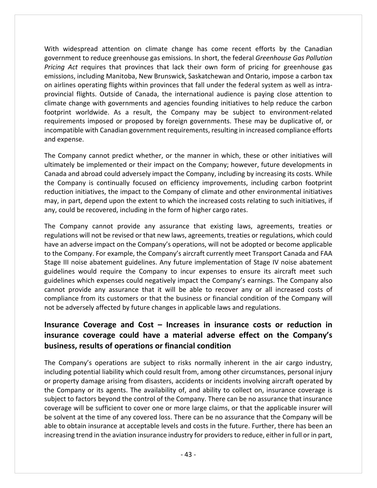With widespread attention on climate change has come recent efforts by the Canadian government to reduce greenhouse gas emissions. In short, the federal *Greenhouse Gas Pollution Pricing Act* requires that provinces that lack their own form of pricing for greenhouse gas emissions, including Manitoba, New Brunswick, Saskatchewan and Ontario, impose a carbon tax on airlines operating flights within provinces that fall under the federal system as well as intra‐ provincial flights. Outside of Canada, the international audience is paying close attention to climate change with governments and agencies founding initiatives to help reduce the carbon footprint worldwide. As a result, the Company may be subject to environment-related requirements imposed or proposed by foreign governments. These may be duplicative of, or incompatible with Canadian government requirements, resulting in increased compliance efforts and expense.

The Company cannot predict whether, or the manner in which, these or other initiatives will ultimately be implemented or their impact on the Company; however, future developments in Canada and abroad could adversely impact the Company, including by increasing its costs. While the Company is continually focused on efficiency improvements, including carbon footprint reduction initiatives, the impact to the Company of climate and other environmental initiatives may, in part, depend upon the extent to which the increased costs relating to such initiatives, if any, could be recovered, including in the form of higher cargo rates.

The Company cannot provide any assurance that existing laws, agreements, treaties or regulations will not be revised or that new laws, agreements, treaties or regulations, which could have an adverse impact on the Company's operations, will not be adopted or become applicable to the Company. For example, the Company's aircraft currently meet Transport Canada and FAA Stage III noise abatement guidelines. Any future implementation of Stage IV noise abatement guidelines would require the Company to incur expenses to ensure its aircraft meet such guidelines which expenses could negatively impact the Company's earnings. The Company also cannot provide any assurance that it will be able to recover any or all increased costs of compliance from its customers or that the business or financial condition of the Company will not be adversely affected by future changes in applicable laws and regulations.

### **Insurance Coverage and Cost – Increases in insurance costs or reduction in insurance coverage could have a material adverse effect on the Company's business, results of operations or financial condition**

The Company's operations are subject to risks normally inherent in the air cargo industry, including potential liability which could result from, among other circumstances, personal injury or property damage arising from disasters, accidents or incidents involving aircraft operated by the Company or its agents. The availability of, and ability to collect on, insurance coverage is subject to factors beyond the control of the Company. There can be no assurance that insurance coverage will be sufficient to cover one or more large claims, or that the applicable insurer will be solvent at the time of any covered loss. There can be no assurance that the Company will be able to obtain insurance at acceptable levels and costs in the future. Further, there has been an increasing trend in the aviation insurance industry for providersto reduce, either in full or in part,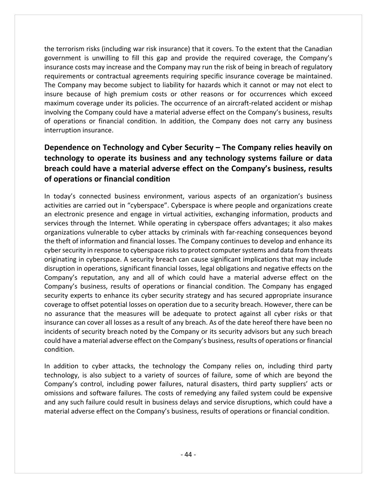the terrorism risks (including war risk insurance) that it covers. To the extent that the Canadian government is unwilling to fill this gap and provide the required coverage, the Company's insurance costs may increase and the Company may run the risk of being in breach of regulatory requirements or contractual agreements requiring specific insurance coverage be maintained. The Company may become subject to liability for hazards which it cannot or may not elect to insure because of high premium costs or other reasons or for occurrences which exceed maximum coverage under its policies. The occurrence of an aircraft-related accident or mishap involving the Company could have a material adverse effect on the Company's business, results of operations or financial condition. In addition, the Company does not carry any business interruption insurance.

### **Dependence on Technology and Cyber Security – The Company relies heavily on technology to operate its business and any technology systems failure or data breach could have a material adverse effect on the Company's business, results of operations or financial condition**

In today's connected business environment, various aspects of an organization's business activities are carried out in "cyberspace". Cyberspace is where people and organizations create an electronic presence and engage in virtual activities, exchanging information, products and services through the Internet. While operating in cyberspace offers advantages; it also makes organizations vulnerable to cyber attacks by criminals with far‐reaching consequences beyond the theft of information and financial losses. The Company continues to develop and enhance its cyber security in response to cyberspace risks to protect computer systems and data from threats originating in cyberspace. A security breach can cause significant implications that may include disruption in operations, significant financial losses, legal obligations and negative effects on the Company's reputation, any and all of which could have a material adverse effect on the Company's business, results of operations or financial condition. The Company has engaged security experts to enhance its cyber security strategy and has secured appropriate insurance coverage to offset potential losses on operation due to a security breach. However, there can be no assurance that the measures will be adequate to protect against all cyber risks or that insurance can cover all losses as a result of any breach. As of the date hereof there have been no incidents of security breach noted by the Company or its security advisors but any such breach could have a material adverse effect on the Company's business, results of operations or financial condition.

In addition to cyber attacks, the technology the Company relies on, including third party technology, is also subject to a variety of sources of failure, some of which are beyond the Company's control, including power failures, natural disasters, third party suppliers' acts or omissions and software failures. The costs of remedying any failed system could be expensive and any such failure could result in business delays and service disruptions, which could have a material adverse effect on the Company's business, results of operations or financial condition.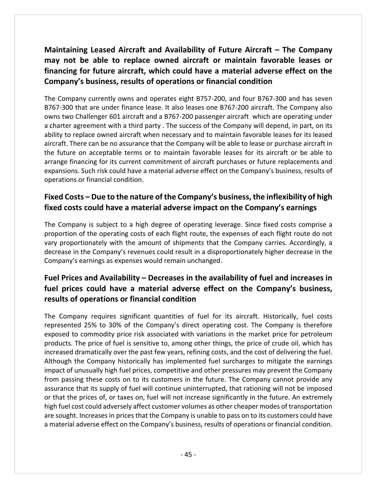**Maintaining Leased Aircraft and Availability of Future Aircraft – The Company may not be able to replace owned aircraft or maintain favorable leases or financing for future aircraft, which could have a material adverse effect on the Company's business, results of operations or financial condition**

The Company currently owns and operates eight B757‐200, and four B767‐300 and has seven B767‐300 that are under finance lease. It also leases one B767‐200 aircraft. The Company also owns two Challenger 601 aircraft and a B767‐200 passenger aircraft which are operating under a charter agreement with a third party . The success of the Company will depend, in part, on its ability to replace owned aircraft when necessary and to maintain favorable leases for its leased aircraft. There can be no assurance that the Company will be able to lease or purchase aircraft in the future on acceptable terms or to maintain favorable leases for its aircraft or be able to arrange financing for its current commitment of aircraft purchases or future replacements and expansions. Such risk could have a material adverse effect on the Company's business, results of operations or financial condition.

### **Fixed Costs – Due to the nature of the Company's business, the inflexibility of high fixed costs could have a material adverse impact on the Company's earnings**

The Company is subject to a high degree of operating leverage. Since fixed costs comprise a proportion of the operating costs of each flight route, the expenses of each flight route do not vary proportionately with the amount of shipments that the Company carries. Accordingly, a decrease in the Company's revenues could result in a disproportionately higher decrease in the Company's earnings as expenses would remain unchanged.

### **Fuel Prices and Availability – Decreases in the availability of fuel and increases in fuel prices could have a material adverse effect on the Company's business, results of operations or financial condition**

The Company requires significant quantities of fuel for its aircraft. Historically, fuel costs represented 25% to 30% of the Company's direct operating cost. The Company is therefore exposed to commodity price risk associated with variations in the market price for petroleum products. The price of fuel is sensitive to, among other things, the price of crude oil, which has increased dramatically over the past few years, refining costs, and the cost of delivering the fuel. Although the Company historically has implemented fuel surcharges to mitigate the earnings impact of unusually high fuel prices, competitive and other pressures may prevent the Company from passing these costs on to its customers in the future. The Company cannot provide any assurance that its supply of fuel will continue uninterrupted, that rationing will not be imposed or that the prices of, or taxes on, fuel will not increase significantly in the future. An extremely high fuel cost could adversely affect customer volumes as other cheaper modes of transportation are sought. Increases in prices that the Company is unable to pass on to its customers could have a material adverse effect on the Company's business, results of operations or financial condition.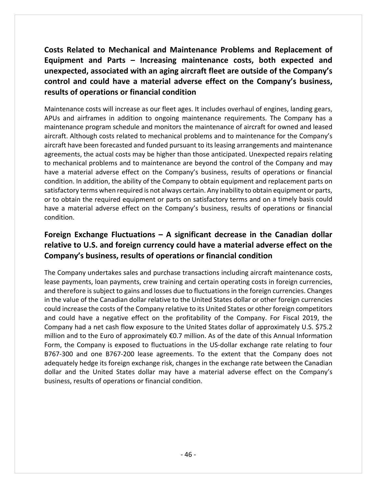**Costs Related to Mechanical and Maintenance Problems and Replacement of Equipment and Parts – Increasing maintenance costs, both expected and unexpected, associated with an aging aircraft fleet are outside of the Company's control and could have a material adverse effect on the Company's business, results of operations or financial condition**

Maintenance costs will increase as our fleet ages. It includes overhaul of engines, landing gears, APUs and airframes in addition to ongoing maintenance requirements. The Company has a maintenance program schedule and monitors the maintenance of aircraft for owned and leased aircraft. Although costs related to mechanical problems and to maintenance for the Company's aircraft have been forecasted and funded pursuant to its leasing arrangements and maintenance agreements, the actual costs may be higher than those anticipated. Unexpected repairs relating to mechanical problems and to maintenance are beyond the control of the Company and may have a material adverse effect on the Company's business, results of operations or financial condition. In addition, the ability of the Company to obtain equipment and replacement parts on satisfactory terms when required is not always certain. Any inability to obtain equipment or parts, or to obtain the required equipment or parts on satisfactory terms and on a timely basis could have a material adverse effect on the Company's business, results of operations or financial condition.

### **Foreign Exchange Fluctuations – A significant decrease in the Canadian dollar relative to U.S. and foreign currency could have a material adverse effect on the Company's business, results of operations or financial condition**

The Company undertakes sales and purchase transactions including aircraft maintenance costs, lease payments, loan payments, crew training and certain operating costs in foreign currencies, and therefore is subject to gains and losses due to fluctuations in the foreign currencies. Changes in the value of the Canadian dollar relative to the United States dollar or other foreign currencies could increase the costs of the Company relative to its United States or other foreign competitors and could have a negative effect on the profitability of the Company. For Fiscal 2019, the Company had a net cash flow exposure to the United States dollar of approximately U.S. \$75.2 million and to the Euro of approximately €0.7 million. As of the date of this Annual Information Form, the Company is exposed to fluctuations in the US-dollar exchange rate relating to four B767‐300 and one B767‐200 lease agreements. To the extent that the Company does not adequately hedge its foreign exchange risk, changes in the exchange rate between the Canadian dollar and the United States dollar may have a material adverse effect on the Company's business, results of operations or financial condition.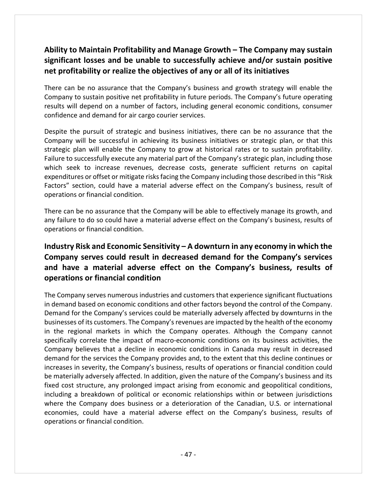### **Ability to Maintain Profitability and Manage Growth – The Company may sustain significant losses and be unable to successfully achieve and/or sustain positive net profitability or realize the objectives of any or all of its initiatives**

There can be no assurance that the Company's business and growth strategy will enable the Company to sustain positive net profitability in future periods. The Company's future operating results will depend on a number of factors, including general economic conditions, consumer confidence and demand for air cargo courier services.

Despite the pursuit of strategic and business initiatives, there can be no assurance that the Company will be successful in achieving its business initiatives or strategic plan, or that this strategic plan will enable the Company to grow at historical rates or to sustain profitability. Failure to successfully execute any material part of the Company's strategic plan, including those which seek to increase revenues, decrease costs, generate sufficient returns on capital expenditures or offset or mitigate risksfacing the Company including those described in this "Risk Factors" section, could have a material adverse effect on the Company's business, result of operations or financial condition.

There can be no assurance that the Company will be able to effectively manage its growth, and any failure to do so could have a material adverse effect on the Company's business, results of operations or financial condition.

### **Industry Risk and Economic Sensitivity – A downturn in any economy in which the Company serves could result in decreased demand for the Company's services and have a material adverse effect on the Company's business, results of operations or financial condition**

The Company serves numerous industries and customers that experience significant fluctuations in demand based on economic conditions and other factors beyond the control of the Company. Demand for the Company's services could be materially adversely affected by downturns in the businesses of its customers. The Company's revenues are impacted by the health of the economy in the regional markets in which the Company operates. Although the Company cannot specifically correlate the impact of macro-economic conditions on its business activities, the Company believes that a decline in economic conditions in Canada may result in decreased demand for the services the Company provides and, to the extent that this decline continues or increases in severity, the Company's business, results of operations or financial condition could be materially adversely affected. In addition, given the nature of the Company's business and its fixed cost structure, any prolonged impact arising from economic and geopolitical conditions, including a breakdown of political or economic relationships within or between jurisdictions where the Company does business or a deterioration of the Canadian, U.S. or international economies, could have a material adverse effect on the Company's business, results of operations or financial condition.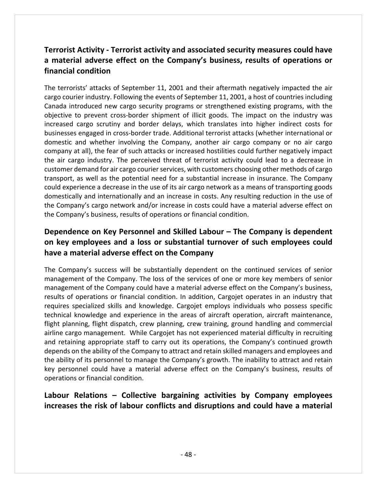### **Terrorist Activity ‐ Terrorist activity and associated security measures could have a material adverse effect on the Company's business, results of operations or financial condition**

The terrorists' attacks of September 11, 2001 and their aftermath negatively impacted the air cargo courier industry. Following the events of September 11, 2001, a host of countries including Canada introduced new cargo security programs or strengthened existing programs, with the objective to prevent cross‐border shipment of illicit goods. The impact on the industry was increased cargo scrutiny and border delays, which translates into higher indirect costs for businesses engaged in cross‐border trade. Additional terrorist attacks (whether international or domestic and whether involving the Company, another air cargo company or no air cargo company at all), the fear of such attacks or increased hostilities could further negatively impact the air cargo industry. The perceived threat of terrorist activity could lead to a decrease in customer demand for air cargo courier services, with customers choosing other methods of cargo transport, as well as the potential need for a substantial increase in insurance. The Company could experience a decrease in the use of its air cargo network as a means of transporting goods domestically and internationally and an increase in costs. Any resulting reduction in the use of the Company's cargo network and/or increase in costs could have a material adverse effect on the Company's business, results of operations or financial condition.

### **Dependence on Key Personnel and Skilled Labour – The Company is dependent on key employees and a loss or substantial turnover of such employees could have a material adverse effect on the Company**

The Company's success will be substantially dependent on the continued services of senior management of the Company. The loss of the services of one or more key members of senior management of the Company could have a material adverse effect on the Company's business, results of operations or financial condition. In addition, Cargojet operates in an industry that requires specialized skills and knowledge. Cargojet employs individuals who possess specific technical knowledge and experience in the areas of aircraft operation, aircraft maintenance, flight planning, flight dispatch, crew planning, crew training, ground handling and commercial airline cargo management. While Cargojet has not experienced material difficulty in recruiting and retaining appropriate staff to carry out its operations, the Company's continued growth depends on the ability of the Company to attract and retain skilled managers and employees and the ability of its personnel to manage the Company's growth. The inability to attract and retain key personnel could have a material adverse effect on the Company's business, results of operations or financial condition.

### **Labour Relations – Collective bargaining activities by Company employees increases the risk of labour conflicts and disruptions and could have a material**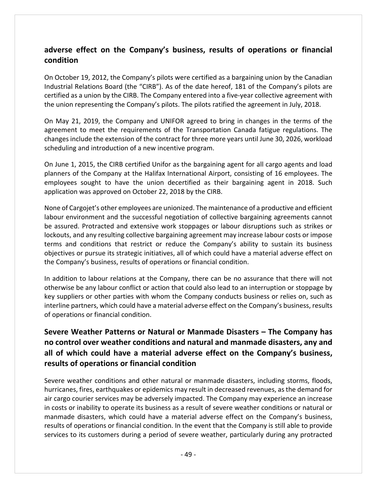### **adverse effect on the Company's business, results of operations or financial condition**

On October 19, 2012, the Company's pilots were certified as a bargaining union by the Canadian Industrial Relations Board (the "CIRB"). As of the date hereof, 181 of the Company's pilots are certified as a union by the CIRB. The Company entered into a five-year collective agreement with the union representing the Company's pilots. The pilots ratified the agreement in July, 2018.

On May 21, 2019, the Company and UNIFOR agreed to bring in changes in the terms of the agreement to meet the requirements of the Transportation Canada fatigue regulations. The changes include the extension of the contract for three more years until June 30, 2026, workload scheduling and introduction of a new incentive program.

On June 1, 2015, the CIRB certified Unifor as the bargaining agent for all cargo agents and load planners of the Company at the Halifax International Airport, consisting of 16 employees. The employees sought to have the union decertified as their bargaining agent in 2018. Such application was approved on October 22, 2018 by the CIRB.

None of Cargojet's other employees are unionized. The maintenance of a productive and efficient labour environment and the successful negotiation of collective bargaining agreements cannot be assured. Protracted and extensive work stoppages or labour disruptions such as strikes or lockouts, and any resulting collective bargaining agreement may increase labour costs or impose terms and conditions that restrict or reduce the Company's ability to sustain its business objectives or pursue its strategic initiatives, all of which could have a material adverse effect on the Company's business, results of operations or financial condition.

In addition to labour relations at the Company, there can be no assurance that there will not otherwise be any labour conflict or action that could also lead to an interruption or stoppage by key suppliers or other parties with whom the Company conducts business or relies on, such as interline partners, which could have a material adverse effect on the Company's business, results of operations or financial condition.

### **Severe Weather Patterns or Natural or Manmade Disasters – The Company has no control over weather conditions and natural and manmade disasters, any and all of which could have a material adverse effect on the Company's business, results of operations or financial condition**

Severe weather conditions and other natural or manmade disasters, including storms, floods, hurricanes, fires, earthquakes or epidemics may result in decreased revenues, as the demand for air cargo courier services may be adversely impacted. The Company may experience an increase in costs or inability to operate its business as a result of severe weather conditions or natural or manmade disasters, which could have a material adverse effect on the Company's business, results of operations or financial condition. In the event that the Company is still able to provide services to its customers during a period of severe weather, particularly during any protracted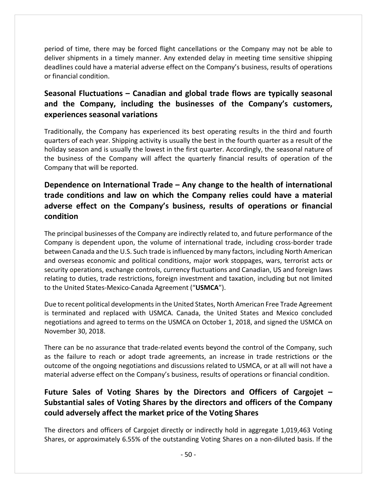period of time, there may be forced flight cancellations or the Company may not be able to deliver shipments in a timely manner. Any extended delay in meeting time sensitive shipping deadlines could have a material adverse effect on the Company's business, results of operations or financial condition.

### **Seasonal Fluctuations – Canadian and global trade flows are typically seasonal and the Company, including the businesses of the Company's customers, experiences seasonal variations**

Traditionally, the Company has experienced its best operating results in the third and fourth quarters of each year. Shipping activity is usually the best in the fourth quarter as a result of the holiday season and is usually the lowest in the first quarter. Accordingly, the seasonal nature of the business of the Company will affect the quarterly financial results of operation of the Company that will be reported.

### **Dependence on International Trade – Any change to the health of international trade conditions and law on which the Company relies could have a material adverse effect on the Company's business, results of operations or financial condition**

The principal businesses of the Company are indirectly related to, and future performance of the Company is dependent upon, the volume of international trade, including cross‐border trade between Canada and the U.S. Such trade isinfluenced by many factors, including North American and overseas economic and political conditions, major work stoppages, wars, terrorist acts or security operations, exchange controls, currency fluctuations and Canadian, US and foreign laws relating to duties, trade restrictions, foreign investment and taxation, including but not limited to the United States‐Mexico‐Canada Agreement ("**USMCA**").

Due to recent political developments in the United States, North American Free Trade Agreement is terminated and replaced with USMCA. Canada, the United States and Mexico concluded negotiations and agreed to terms on the USMCA on October 1, 2018, and signed the USMCA on November 30, 2018.

There can be no assurance that trade‐related events beyond the control of the Company, such as the failure to reach or adopt trade agreements, an increase in trade restrictions or the outcome of the ongoing negotiations and discussions related to USMCA, or at all will not have a material adverse effect on the Company's business, results of operations or financial condition.

### **Future Sales of Voting Shares by the Directors and Officers of Cargojet – Substantial sales of Voting Shares by the directors and officers of the Company could adversely affect the market price of the Voting Shares**

The directors and officers of Cargojet directly or indirectly hold in aggregate 1,019,463 Voting Shares, or approximately 6.55% of the outstanding Voting Shares on a non‐diluted basis. If the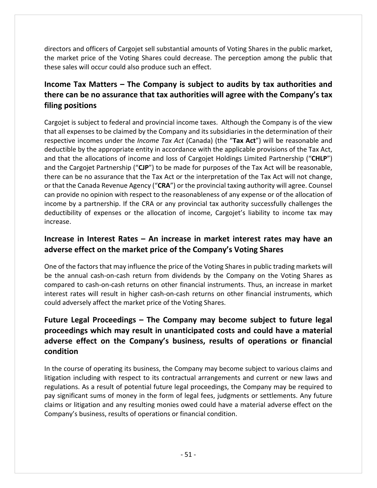directors and officers of Cargojet sell substantial amounts of Voting Shares in the public market, the market price of the Voting Shares could decrease. The perception among the public that these sales will occur could also produce such an effect.

### **Income Tax Matters – The Company is subject to audits by tax authorities and there can be no assurance that tax authorities will agree with the Company's tax filing positions**

Cargojet is subject to federal and provincial income taxes. Although the Company is of the view that all expenses to be claimed by the Company and its subsidiaries in the determination of their respective incomes under the *Income Tax Act* (Canada) (the "**Tax Act**") will be reasonable and deductible by the appropriate entity in accordance with the applicable provisions of the Tax Act, and that the allocations of income and loss of Cargojet Holdings Limited Partnership ("**CHLP**") and the Cargojet Partnership ("**CJP**") to be made for purposes of the Tax Act will be reasonable, there can be no assurance that the Tax Act or the interpretation of the Tax Act will not change, or that the Canada Revenue Agency ("**CRA**") or the provincial taxing authority will agree. Counsel can provide no opinion with respect to the reasonableness of any expense or of the allocation of income by a partnership. If the CRA or any provincial tax authority successfully challenges the deductibility of expenses or the allocation of income, Cargojet's liability to income tax may increase.

### **Increase in Interest Rates – An increase in market interest rates may have an adverse effect on the market price of the Company's Voting Shares**

One of the factors that may influence the price of the Voting Shares in public trading markets will be the annual cash-on-cash return from dividends by the Company on the Voting Shares as compared to cash-on-cash returns on other financial instruments. Thus, an increase in market interest rates will result in higher cash‐on‐cash returns on other financial instruments, which could adversely affect the market price of the Voting Shares.

### **Future Legal Proceedings – The Company may become subject to future legal proceedings which may result in unanticipated costs and could have a material adverse effect on the Company's business, results of operations or financial condition**

In the course of operating its business, the Company may become subject to various claims and litigation including with respect to its contractual arrangements and current or new laws and regulations. As a result of potential future legal proceedings, the Company may be required to pay significant sums of money in the form of legal fees, judgments or settlements. Any future claims or litigation and any resulting monies owed could have a material adverse effect on the Company's business, results of operations or financial condition.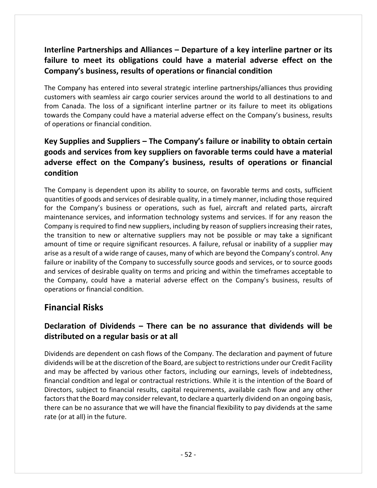### **Interline Partnerships and Alliances – Departure of a key interline partner or its failure to meet its obligations could have a material adverse effect on the Company's business, results of operations or financial condition**

The Company has entered into several strategic interline partnerships/alliances thus providing customers with seamless air cargo courier services around the world to all destinations to and from Canada. The loss of a significant interline partner or its failure to meet its obligations towards the Company could have a material adverse effect on the Company's business, results of operations or financial condition.

### **Key Supplies and Suppliers – The Company's failure or inability to obtain certain goods and services from key suppliers on favorable terms could have a material adverse effect on the Company's business, results of operations or financial condition**

The Company is dependent upon its ability to source, on favorable terms and costs, sufficient quantities of goods and services of desirable quality, in a timely manner, including those required for the Company's business or operations, such as fuel, aircraft and related parts, aircraft maintenance services, and information technology systems and services. If for any reason the Company is required to find new suppliers, including by reason of suppliers increasing their rates, the transition to new or alternative suppliers may not be possible or may take a significant amount of time or require significant resources. A failure, refusal or inability of a supplier may arise as a result of a wide range of causes, many of which are beyond the Company's control. Any failure or inability of the Company to successfully source goods and services, or to source goods and services of desirable quality on terms and pricing and within the timeframes acceptable to the Company, could have a material adverse effect on the Company's business, results of operations or financial condition.

### **Financial Risks**

### **Declaration of Dividends – There can be no assurance that dividends will be distributed on a regular basis or at all**

Dividends are dependent on cash flows of the Company. The declaration and payment of future dividends will be at the discretion of the Board, are subject to restrictions under our Credit Facility and may be affected by various other factors, including our earnings, levels of indebtedness, financial condition and legal or contractual restrictions. While it is the intention of the Board of Directors, subject to financial results, capital requirements, available cash flow and any other factors that the Board may consider relevant, to declare a quarterly dividend on an ongoing basis, there can be no assurance that we will have the financial flexibility to pay dividends at the same rate (or at all) in the future.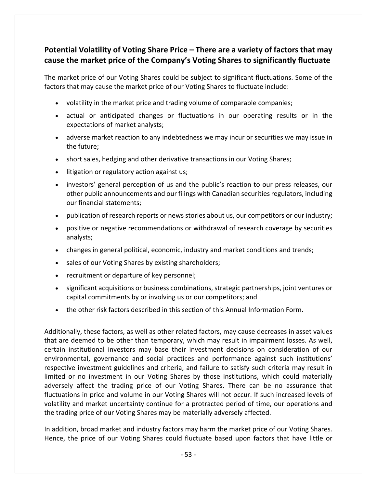### **Potential Volatility of Voting Share Price – There are a variety of factors that may cause the market price of the Company's Voting Shares to significantly fluctuate**

The market price of our Voting Shares could be subject to significant fluctuations. Some of the factors that may cause the market price of our Voting Shares to fluctuate include:

- volatility in the market price and trading volume of comparable companies;
- actual or anticipated changes or fluctuations in our operating results or in the expectations of market analysts;
- adverse market reaction to any indebtedness we may incur or securities we may issue in the future;
- short sales, hedging and other derivative transactions in our Voting Shares;
- litigation or regulatory action against us;
- investors' general perception of us and the public's reaction to our press releases, our other public announcements and our filings with Canadian securitiesregulators, including our financial statements;
- publication of research reports or news stories about us, our competitors or our industry;
- positive or negative recommendations or withdrawal of research coverage by securities analysts;
- changes in general political, economic, industry and market conditions and trends;
- sales of our Voting Shares by existing shareholders;
- recruitment or departure of key personnel;
- significant acquisitions or business combinations, strategic partnerships, joint ventures or capital commitments by or involving us or our competitors; and
- the other risk factors described in this section of this Annual Information Form.

Additionally, these factors, as well as other related factors, may cause decreases in asset values that are deemed to be other than temporary, which may result in impairment losses. As well, certain institutional investors may base their investment decisions on consideration of our environmental, governance and social practices and performance against such institutions' respective investment guidelines and criteria, and failure to satisfy such criteria may result in limited or no investment in our Voting Shares by those institutions, which could materially adversely affect the trading price of our Voting Shares. There can be no assurance that fluctuations in price and volume in our Voting Shares will not occur. If such increased levels of volatility and market uncertainty continue for a protracted period of time, our operations and the trading price of our Voting Shares may be materially adversely affected.

In addition, broad market and industry factors may harm the market price of our Voting Shares. Hence, the price of our Voting Shares could fluctuate based upon factors that have little or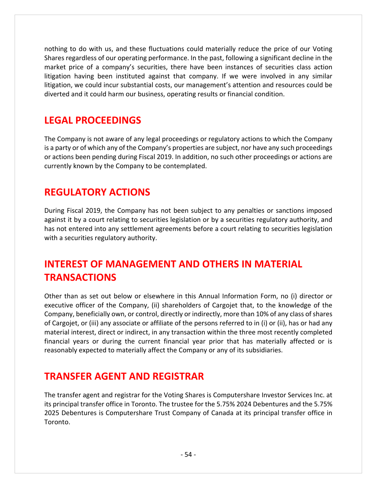nothing to do with us, and these fluctuations could materially reduce the price of our Voting Shares regardless of our operating performance. In the past, following a significant decline in the market price of a company's securities, there have been instances of securities class action litigation having been instituted against that company. If we were involved in any similar litigation, we could incur substantial costs, our management's attention and resources could be diverted and it could harm our business, operating results or financial condition.

## **LEGAL PROCEEDINGS**

The Company is not aware of any legal proceedings or regulatory actions to which the Company is a party or of which any of the Company's properties are subject, nor have any such proceedings or actions been pending during Fiscal 2019. In addition, no such other proceedings or actions are currently known by the Company to be contemplated.

## **REGULATORY ACTIONS**

During Fiscal 2019, the Company has not been subject to any penalties or sanctions imposed against it by a court relating to securities legislation or by a securities regulatory authority, and has not entered into any settlement agreements before a court relating to securities legislation with a securities regulatory authority.

## **INTEREST OF MANAGEMENT AND OTHERS IN MATERIAL TRANSACTIONS**

Other than as set out below or elsewhere in this Annual Information Form, no (i) director or executive officer of the Company, (ii) shareholders of Cargojet that, to the knowledge of the Company, beneficially own, or control, directly or indirectly, more than 10% of any class ofshares of Cargojet, or (iii) any associate or affiliate of the persons referred to in (i) or (ii), has or had any material interest, direct or indirect, in any transaction within the three most recently completed financial years or during the current financial year prior that has materially affected or is reasonably expected to materially affect the Company or any of its subsidiaries.

## **TRANSFER AGENT AND REGISTRAR**

The transfer agent and registrar for the Voting Shares is Computershare Investor Services Inc. at its principal transfer office in Toronto. The trustee for the 5.75% 2024 Debentures and the 5.75% 2025 Debentures is Computershare Trust Company of Canada at its principal transfer office in Toronto.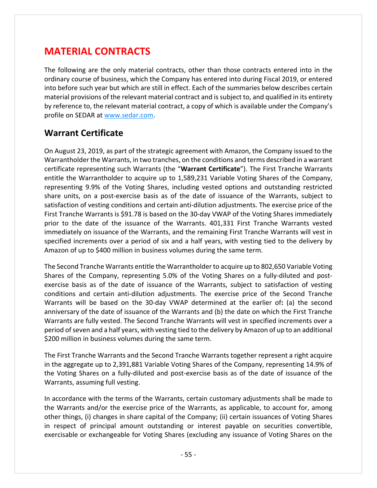## **MATERIAL CONTRACTS**

The following are the only material contracts, other than those contracts entered into in the ordinary course of business, which the Company has entered into during Fiscal 2019, or entered into before such year but which are still in effect. Each of the summaries below describes certain material provisions of the relevant material contract and issubject to, and qualified in its entirety by reference to, the relevant material contract, a copy of which is available under the Company's profile on SEDAR at www.sedar.com.

### **Warrant Certificate**

On August 23, 2019, as part of the strategic agreement with Amazon, the Company issued to the Warrantholder the Warrants, in two tranches, on the conditions and terms described in a warrant certificate representing such Warrants (the "**Warrant Certificate**"). The First Tranche Warrants entitle the Warrantholder to acquire up to 1,589,231 Variable Voting Shares of the Company, representing 9.9% of the Voting Shares, including vested options and outstanding restricted share units, on a post-exercise basis as of the date of issuance of the Warrants, subject to satisfaction of vesting conditions and certain anti‐dilution adjustments. The exercise price of the First Tranche Warrants is \$91.78 is based on the 30‐day VWAP of the Voting Shares immediately prior to the date of the issuance of the Warrants. 401,331 First Tranche Warrants vested immediately on issuance of the Warrants, and the remaining First Tranche Warrants will vest in specified increments over a period of six and a half years, with vesting tied to the delivery by Amazon of up to \$400 million in business volumes during the same term.

The Second Tranche Warrants entitle the Warrantholder to acquire up to 802,650 Variable Voting Shares of the Company, representing 5.0% of the Voting Shares on a fully-diluted and postexercise basis as of the date of issuance of the Warrants, subject to satisfaction of vesting conditions and certain anti‐dilution adjustments. The exercise price of the Second Tranche Warrants will be based on the 30‐day VWAP determined at the earlier of**:** (a) the second anniversary of the date of issuance of the Warrants and (b) the date on which the First Tranche Warrants are fully vested. The Second Tranche Warrants will vest in specified increments over a period ofseven and a half years, with vesting tied to the delivery by Amazon of up to an additional \$200 million in business volumes during the same term.

The First Tranche Warrants and the Second Tranche Warrants together represent a right acquire in the aggregate up to 2,391,881 Variable Voting Shares of the Company, representing 14.9% of the Voting Shares on a fully‐diluted and post‐exercise basis as of the date of issuance of the Warrants, assuming full vesting.

In accordance with the terms of the Warrants, certain customary adjustments shall be made to the Warrants and/or the exercise price of the Warrants, as applicable, to account for, among other things, (i) changes in share capital of the Company; (ii) certain issuances of Voting Shares in respect of principal amount outstanding or interest payable on securities convertible, exercisable or exchangeable for Voting Shares (excluding any issuance of Voting Shares on the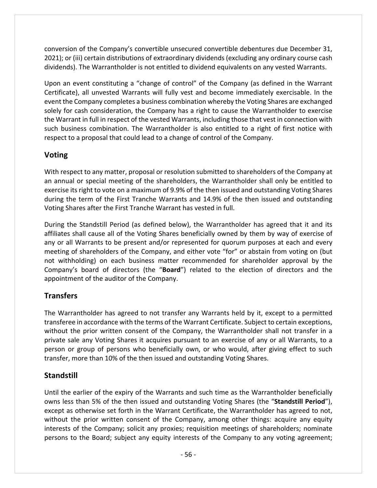conversion of the Company's convertible unsecured convertible debentures due December 31, 2021); or (iii) certain distributions of extraordinary dividends (excluding any ordinary course cash dividends). The Warrantholder is not entitled to dividend equivalents on any vested Warrants.

Upon an event constituting a "change of control" of the Company (as defined in the Warrant Certificate), all unvested Warrants will fully vest and become immediately exercisable. In the event the Company completes a business combination whereby the Voting Shares are exchanged solely for cash consideration, the Company has a right to cause the Warrantholder to exercise the Warrant in full in respect of the vested Warrants, including those that vest in connection with such business combination. The Warrantholder is also entitled to a right of first notice with respect to a proposal that could lead to a change of control of the Company.

### **Voting**

With respect to any matter, proposal or resolution submitted to shareholders of the Company at an annual or special meeting of the shareholders, the Warrantholder shall only be entitled to exercise its right to vote on a maximum of 9.9% of the then issued and outstanding Voting Shares during the term of the First Tranche Warrants and 14.9% of the then issued and outstanding Voting Shares after the First Tranche Warrant has vested in full.

During the Standstill Period (as defined below), the Warrantholder has agreed that it and its affiliates shall cause all of the Voting Shares beneficially owned by them by way of exercise of any or all Warrants to be present and/or represented for quorum purposes at each and every meeting of shareholders of the Company, and either vote "for" or abstain from voting on (but not withholding) on each business matter recommended for shareholder approval by the Company's board of directors (the "**Board**") related to the election of directors and the appointment of the auditor of the Company.

### **Transfers**

The Warrantholder has agreed to not transfer any Warrants held by it, except to a permitted transferee in accordance with the terms of the Warrant Certificate. Subject to certain exceptions, without the prior written consent of the Company, the Warrantholder shall not transfer in a private sale any Voting Shares it acquires pursuant to an exercise of any or all Warrants, to a person or group of persons who beneficially own, or who would, after giving effect to such transfer, more than 10% of the then issued and outstanding Voting Shares.

### **Standstill**

Until the earlier of the expiry of the Warrants and such time as the Warrantholder beneficially owns less than 5% of the then issued and outstanding Voting Shares (the "**Standstill Period**"), except as otherwise set forth in the Warrant Certificate, the Warrantholder has agreed to not, without the prior written consent of the Company, among other things: acquire any equity interests of the Company; solicit any proxies; requisition meetings of shareholders; nominate persons to the Board; subject any equity interests of the Company to any voting agreement;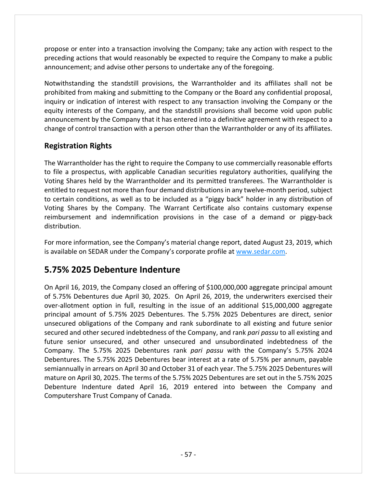propose or enter into a transaction involving the Company; take any action with respect to the preceding actions that would reasonably be expected to require the Company to make a public announcement; and advise other persons to undertake any of the foregoing.

Notwithstanding the standstill provisions, the Warrantholder and its affiliates shall not be prohibited from making and submitting to the Company or the Board any confidential proposal, inquiry or indication of interest with respect to any transaction involving the Company or the equity interests of the Company, and the standstill provisions shall become void upon public announcement by the Company that it has entered into a definitive agreement with respect to a change of control transaction with a person other than the Warrantholder or any of its affiliates.

### **Registration Rights**

The Warrantholder has the right to require the Company to use commercially reasonable efforts to file a prospectus, with applicable Canadian securities regulatory authorities, qualifying the Voting Shares held by the Warrantholder and its permitted transferees. The Warrantholder is entitled to request not more than four demand distributions in any twelve-month period, subject to certain conditions, as well as to be included as a "piggy back" holder in any distribution of Voting Shares by the Company. The Warrant Certificate also contains customary expense reimbursement and indemnification provisions in the case of a demand or piggy‐back distribution.

For more information, see the Company's material change report, dated August 23, 2019, which is available on SEDAR under the Company's corporate profile at www.sedar.com.

### **5.75% 2025 Debenture Indenture**

On April 16, 2019, the Company closed an offering of \$100,000,000 aggregate principal amount of 5.75% Debentures due April 30, 2025. On April 26, 2019, the underwriters exercised their over‐allotment option in full, resulting in the issue of an additional \$15,000,000 aggregate principal amount of 5.75% 2025 Debentures. The 5.75% 2025 Debentures are direct, senior unsecured obligations of the Company and rank subordinate to all existing and future senior secured and other secured indebtedness of the Company, and rank *pari passu* to all existing and future senior unsecured, and other unsecured and unsubordinated indebtedness of the Company. The 5.75% 2025 Debentures rank *pari passu* with the Company's 5.75% 2024 Debentures. The 5.75% 2025 Debentures bear interest at a rate of 5.75% per annum, payable semiannually in arrears on April 30 and October 31 of each year. The 5.75% 2025 Debentures will mature on April 30, 2025. The terms of the 5.75% 2025 Debentures are set out in the 5.75% 2025 Debenture Indenture dated April 16, 2019 entered into between the Company and Computershare Trust Company of Canada.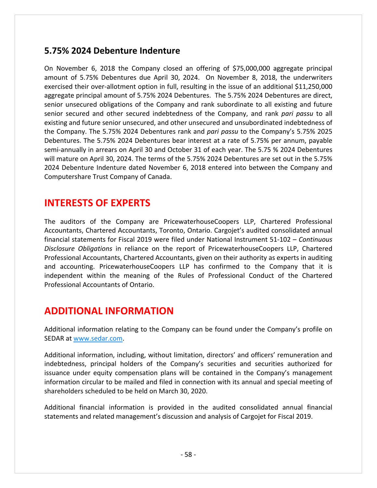### **5.75% 2024 Debenture Indenture**

On November 6, 2018 the Company closed an offering of \$75,000,000 aggregate principal amount of 5.75% Debentures due April 30, 2024. On November 8, 2018, the underwriters exercised their over-allotment option in full, resulting in the issue of an additional \$11,250,000 aggregate principal amount of 5.75% 2024 Debentures. The 5.75% 2024 Debentures are direct, senior unsecured obligations of the Company and rank subordinate to all existing and future senior secured and other secured indebtedness of the Company, and rank *pari passu* to all existing and future senior unsecured, and other unsecured and unsubordinated indebtedness of the Company. The 5.75% 2024 Debentures rank and *pari passu* to the Company's 5.75% 2025 Debentures. The 5.75% 2024 Debentures bear interest at a rate of 5.75% per annum, payable semi‐annually in arrears on April 30 and October 31 of each year. The 5.75 % 2024 Debentures will mature on April 30, 2024. The terms of the 5.75% 2024 Debentures are set out in the 5.75% 2024 Debenture Indenture dated November 6, 2018 entered into between the Company and Computershare Trust Company of Canada.

## **INTERESTS OF EXPERTS**

The auditors of the Company are PricewaterhouseCoopers LLP, Chartered Professional Accountants, Chartered Accountants, Toronto, Ontario. Cargojet's audited consolidated annual financial statements for Fiscal 2019 were filed under National Instrument 51‐102 – *Continuous Disclosure Obligations* in reliance on the report of PricewaterhouseCoopers LLP, Chartered Professional Accountants, Chartered Accountants, given on their authority as experts in auditing and accounting. PricewaterhouseCoopers LLP has confirmed to the Company that it is independent within the meaning of the Rules of Professional Conduct of the Chartered Professional Accountants of Ontario.

## **ADDITIONAL INFORMATION**

Additional information relating to the Company can be found under the Company's profile on SEDAR at www.sedar.com.

Additional information, including, without limitation, directors' and officers' remuneration and indebtedness, principal holders of the Company's securities and securities authorized for issuance under equity compensation plans will be contained in the Company's management information circular to be mailed and filed in connection with its annual and special meeting of shareholders scheduled to be held on March 30, 2020.

Additional financial information is provided in the audited consolidated annual financial statements and related management's discussion and analysis of Cargojet for Fiscal 2019.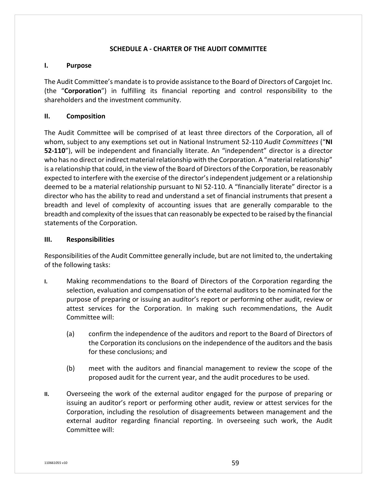#### **SCHEDULE A ‐ CHARTER OF THE AUDIT COMMITTEE**

#### **I. Purpose**

The Audit Committee's mandate isto provide assistance to the Board of Directors of Cargojet Inc. (the "**Corporation**") in fulfilling its financial reporting and control responsibility to the shareholders and the investment community.

#### **II. Composition**

The Audit Committee will be comprised of at least three directors of the Corporation, all of whom, subject to any exemptions set out in National Instrument 52‐110 *Audit Committees* ("**NI 52‐110**"), will be independent and financially literate. An "independent" director is a director who has no direct or indirect material relationship with the Corporation. A "material relationship" is a relationship that could, in the view of the Board of Directors of the Corporation, be reasonably expected to interfere with the exercise of the director'sindependent judgement or a relationship deemed to be a material relationship pursuant to NI 52‐110. A "financially literate" director is a director who has the ability to read and understand a set of financial instruments that present a breadth and level of complexity of accounting issues that are generally comparable to the breadth and complexity of the issues that can reasonably be expected to be raised by the financial statements of the Corporation.

#### **III. Responsibilities**

Responsibilities of the Audit Committee generally include, but are not limited to, the undertaking of the following tasks:

- **I.** Making recommendations to the Board of Directors of the Corporation regarding the selection, evaluation and compensation of the external auditors to be nominated for the purpose of preparing or issuing an auditor's report or performing other audit, review or attest services for the Corporation. In making such recommendations, the Audit Committee will:
	- (a) confirm the independence of the auditors and report to the Board of Directors of the Corporation its conclusions on the independence of the auditors and the basis for these conclusions; and
	- (b) meet with the auditors and financial management to review the scope of the proposed audit for the current year, and the audit procedures to be used.
- **II.** Overseeing the work of the external auditor engaged for the purpose of preparing or issuing an auditor's report or performing other audit, review or attest services for the Corporation, including the resolution of disagreements between management and the external auditor regarding financial reporting. In overseeing such work, the Audit Committee will: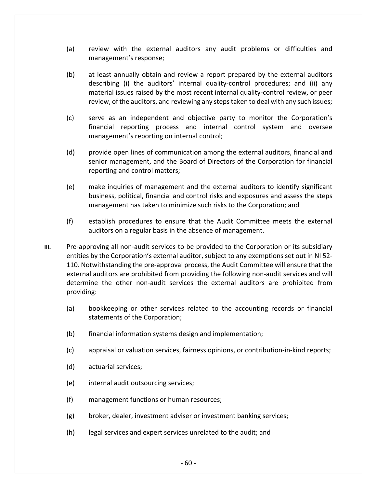- (a) review with the external auditors any audit problems or difficulties and management's response;
- (b) at least annually obtain and review a report prepared by the external auditors describing (i) the auditors' internal quality-control procedures; and (ii) any material issues raised by the most recent internal quality‐control review, or peer review, of the auditors, and reviewing any steps taken to deal with any such issues;
- (c) serve as an independent and objective party to monitor the Corporation's financial reporting process and internal control system and oversee management's reporting on internal control;
- (d) provide open lines of communication among the external auditors, financial and senior management, and the Board of Directors of the Corporation for financial reporting and control matters;
- (e) make inquiries of management and the external auditors to identify significant business, political, financial and control risks and exposures and assess the steps management has taken to minimize such risks to the Corporation; and
- (f) establish procedures to ensure that the Audit Committee meets the external auditors on a regular basis in the absence of management.
- **III.** Pre-approving all non-audit services to be provided to the Corporation or its subsidiary entities by the Corporation's external auditor, subject to any exemptions set out in NI 52‐ 110. Notwithstanding the pre‐approval process, the Audit Committee will ensure that the external auditors are prohibited from providing the following non-audit services and will determine the other non‐audit services the external auditors are prohibited from providing:
	- (a) bookkeeping or other services related to the accounting records or financial statements of the Corporation;
	- (b) financial information systems design and implementation;
	- (c) appraisal or valuation services, fairness opinions, or contribution‐in‐kind reports;
	- (d) actuarial services;
	- (e) internal audit outsourcing services;
	- (f) management functions or human resources;
	- (g) broker, dealer, investment adviser or investment banking services;
	- (h) legal services and expert services unrelated to the audit; and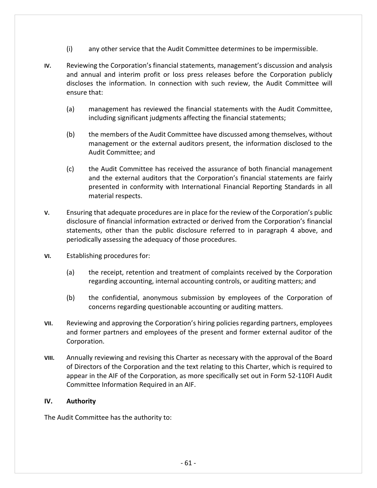- (i) any other service that the Audit Committee determines to be impermissible.
- **IV.** Reviewing the Corporation's financial statements, management's discussion and analysis and annual and interim profit or loss press releases before the Corporation publicly discloses the information. In connection with such review, the Audit Committee will ensure that:
	- (a) management has reviewed the financial statements with the Audit Committee, including significant judgments affecting the financial statements;
	- (b) the members of the Audit Committee have discussed among themselves, without management or the external auditors present, the information disclosed to the Audit Committee; and
	- (c) the Audit Committee has received the assurance of both financial management and the external auditors that the Corporation's financial statements are fairly presented in conformity with International Financial Reporting Standards in all material respects.
- **V.** Ensuring that adequate procedures are in place for the review of the Corporation's public disclosure of financial information extracted or derived from the Corporation's financial statements, other than the public disclosure referred to in paragraph 4 above, and periodically assessing the adequacy of those procedures.
- **VI.** Establishing procedures for:
	- (a) the receipt, retention and treatment of complaints received by the Corporation regarding accounting, internal accounting controls, or auditing matters; and
	- (b) the confidential, anonymous submission by employees of the Corporation of concerns regarding questionable accounting or auditing matters.
- **VII.** Reviewing and approving the Corporation's hiring policies regarding partners, employees and former partners and employees of the present and former external auditor of the Corporation.
- **VIII.** Annually reviewing and revising this Charter as necessary with the approval of the Board of Directors of the Corporation and the text relating to this Charter, which is required to appear in the AIF of the Corporation, as more specifically set out in Form 52‐110FI Audit Committee Information Required in an AIF.

#### **IV. Authority**

The Audit Committee has the authority to: